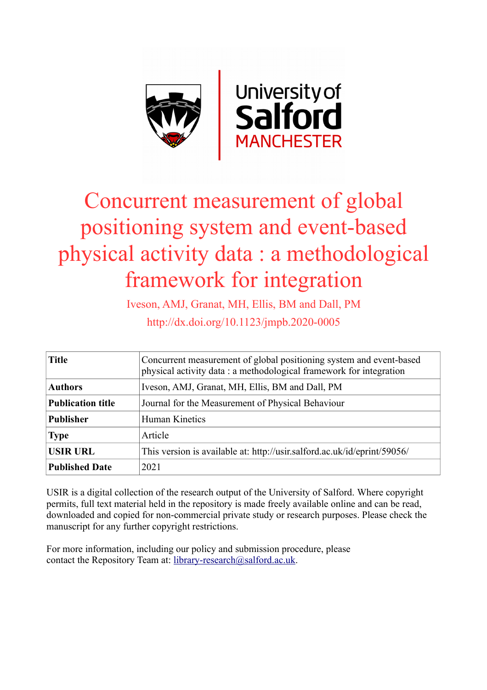

# Concurrent measurement of global positioning system and event-based physical activity data : a methodological framework for integration

Iveson, AMJ, Granat, MH, Ellis, BM and Dall, PM http://dx.doi.org/10.1123/jmpb.2020-0005

| <b>Title</b>             | Concurrent measurement of global positioning system and event-based<br>physical activity data: a methodological framework for integration |  |  |
|--------------------------|-------------------------------------------------------------------------------------------------------------------------------------------|--|--|
| <b>Authors</b>           | Iveson, AMJ, Granat, MH, Ellis, BM and Dall, PM                                                                                           |  |  |
| <b>Publication title</b> | Journal for the Measurement of Physical Behaviour                                                                                         |  |  |
| <b>Publisher</b>         | Human Kinetics                                                                                                                            |  |  |
| <b>Type</b>              | Article                                                                                                                                   |  |  |
| <b>USIR URL</b>          | This version is available at: http://usir.salford.ac.uk/id/eprint/59056/                                                                  |  |  |
| <b>Published Date</b>    | 2021                                                                                                                                      |  |  |

USIR is a digital collection of the research output of the University of Salford. Where copyright permits, full text material held in the repository is made freely available online and can be read, downloaded and copied for non-commercial private study or research purposes. Please check the manuscript for any further copyright restrictions.

For more information, including our policy and submission procedure, please contact the Repository Team at: [library-research@salford.ac.uk.](mailto:library-research@salford.ac.uk)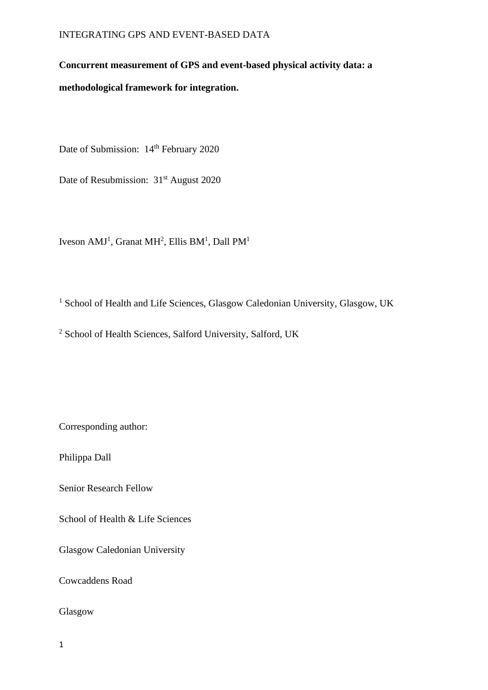# **Concurrent measurement of GPS and event-based physical activity data: a**

**methodological framework for integration.**

Date of Submission: 14<sup>th</sup> February 2020

Date of Resubmission: 31<sup>st</sup> August 2020

Iveson AMJ<sup>1</sup>, Granat MH<sup>2</sup>, Ellis BM<sup>1</sup>, Dall PM<sup>1</sup>

<sup>1</sup> School of Health and Life Sciences, Glasgow Caledonian University, Glasgow, UK

<sup>2</sup> School of Health Sciences, Salford University, Salford, UK

Corresponding author:

Philippa Dall

Senior Research Fellow

School of Health & Life Sciences

Glasgow Caledonian University

Cowcaddens Road

Glasgow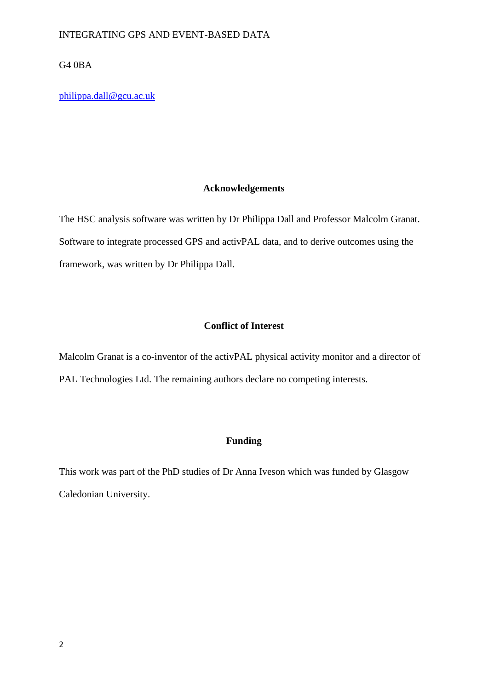G4 0BA

[philippa.dall@gcu.ac.uk](mailto:philippa.dall@gcu.ac.uk)

# **Acknowledgements**

The HSC analysis software was written by Dr Philippa Dall and Professor Malcolm Granat. Software to integrate processed GPS and activPAL data, and to derive outcomes using the framework, was written by Dr Philippa Dall.

# **Conflict of Interest**

Malcolm Granat is a co-inventor of the activPAL physical activity monitor and a director of PAL Technologies Ltd. The remaining authors declare no competing interests.

# **Funding**

This work was part of the PhD studies of Dr Anna Iveson which was funded by Glasgow Caledonian University.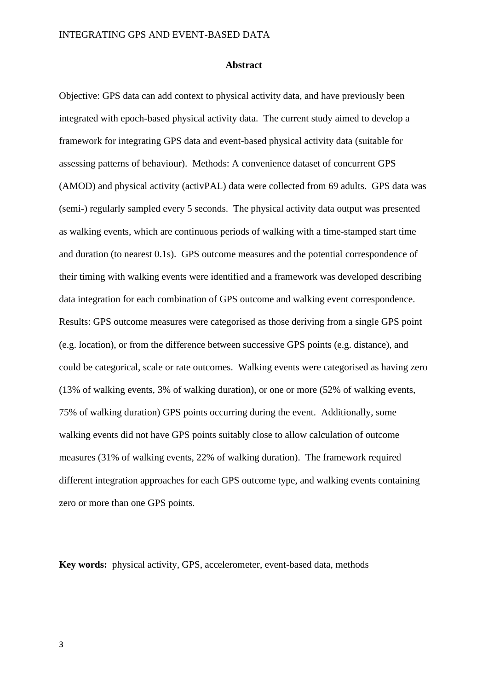#### **Abstract**

Objective: GPS data can add context to physical activity data, and have previously been integrated with epoch-based physical activity data. The current study aimed to develop a framework for integrating GPS data and event-based physical activity data (suitable for assessing patterns of behaviour). Methods: A convenience dataset of concurrent GPS (AMOD) and physical activity (activPAL) data were collected from 69 adults. GPS data was (semi-) regularly sampled every 5 seconds. The physical activity data output was presented as walking events, which are continuous periods of walking with a time-stamped start time and duration (to nearest 0.1s). GPS outcome measures and the potential correspondence of their timing with walking events were identified and a framework was developed describing data integration for each combination of GPS outcome and walking event correspondence. Results: GPS outcome measures were categorised as those deriving from a single GPS point (e.g. location), or from the difference between successive GPS points (e.g. distance), and could be categorical, scale or rate outcomes. Walking events were categorised as having zero (13% of walking events, 3% of walking duration), or one or more (52% of walking events, 75% of walking duration) GPS points occurring during the event. Additionally, some walking events did not have GPS points suitably close to allow calculation of outcome measures (31% of walking events, 22% of walking duration). The framework required different integration approaches for each GPS outcome type, and walking events containing zero or more than one GPS points.

**Key words:** physical activity, GPS, accelerometer, event-based data, methods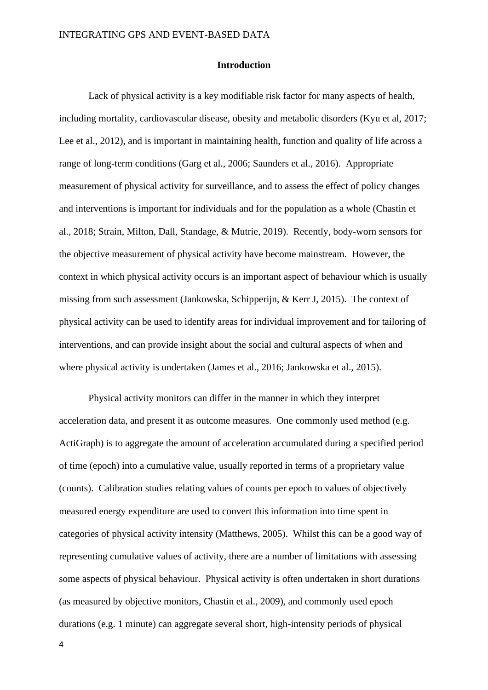#### **Introduction**

Lack of physical activity is a key modifiable risk factor for many aspects of health, including mortality, cardiovascular disease, obesity and metabolic disorders (Kyu et al, 2017; Lee et al., 2012), and is important in maintaining health, function and quality of life across a range of long-term conditions (Garg et al., 2006; Saunders et al., 2016). Appropriate measurement of physical activity for surveillance, and to assess the effect of policy changes and interventions is important for individuals and for the population as a whole (Chastin et al., 2018; Strain, Milton, Dall, Standage, & Mutrie, 2019). Recently, body-worn sensors for the objective measurement of physical activity have become mainstream. However, the context in which physical activity occurs is an important aspect of behaviour which is usually missing from such assessment (Jankowska, Schipperijn, & Kerr J, 2015). The context of physical activity can be used to identify areas for individual improvement and for tailoring of interventions, and can provide insight about the social and cultural aspects of when and where physical activity is undertaken (James et al., 2016; Jankowska et al., 2015).

Physical activity monitors can differ in the manner in which they interpret acceleration data, and present it as outcome measures. One commonly used method (e.g. ActiGraph) is to aggregate the amount of acceleration accumulated during a specified period of time (epoch) into a cumulative value, usually reported in terms of a proprietary value (counts). Calibration studies relating values of counts per epoch to values of objectively measured energy expenditure are used to convert this information into time spent in categories of physical activity intensity (Matthews, 2005). Whilst this can be a good way of representing cumulative values of activity, there are a number of limitations with assessing some aspects of physical behaviour. Physical activity is often undertaken in short durations (as measured by objective monitors, Chastin et al., 2009), and commonly used epoch durations (e.g. 1 minute) can aggregate several short, high-intensity periods of physical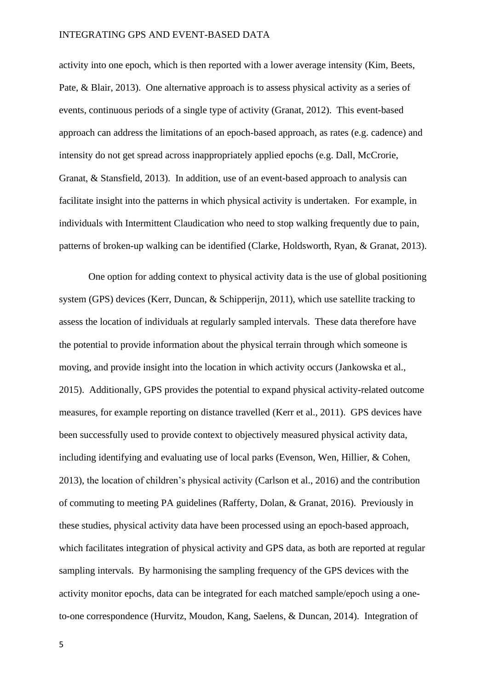activity into one epoch, which is then reported with a lower average intensity (Kim, Beets, Pate, & Blair, 2013). One alternative approach is to assess physical activity as a series of events, continuous periods of a single type of activity (Granat, 2012). This event-based approach can address the limitations of an epoch-based approach, as rates (e.g. cadence) and intensity do not get spread across inappropriately applied epochs (e.g. Dall, McCrorie, Granat, & Stansfield, 2013). In addition, use of an event-based approach to analysis can facilitate insight into the patterns in which physical activity is undertaken. For example, in individuals with Intermittent Claudication who need to stop walking frequently due to pain, patterns of broken-up walking can be identified (Clarke, Holdsworth, Ryan, & Granat, 2013).

One option for adding context to physical activity data is the use of global positioning system (GPS) devices (Kerr, Duncan, & Schipperijn, 2011), which use satellite tracking to assess the location of individuals at regularly sampled intervals. These data therefore have the potential to provide information about the physical terrain through which someone is moving, and provide insight into the location in which activity occurs (Jankowska et al., 2015). Additionally, GPS provides the potential to expand physical activity-related outcome measures, for example reporting on distance travelled (Kerr et al., 2011). GPS devices have been successfully used to provide context to objectively measured physical activity data, including identifying and evaluating use of local parks (Evenson, Wen, Hillier, & Cohen, 2013), the location of children's physical activity (Carlson et al., 2016) and the contribution of commuting to meeting PA guidelines (Rafferty, Dolan, & Granat, 2016). Previously in these studies, physical activity data have been processed using an epoch-based approach, which facilitates integration of physical activity and GPS data, as both are reported at regular sampling intervals. By harmonising the sampling frequency of the GPS devices with the activity monitor epochs, data can be integrated for each matched sample/epoch using a oneto-one correspondence (Hurvitz, Moudon, Kang, Saelens, & Duncan, 2014). Integration of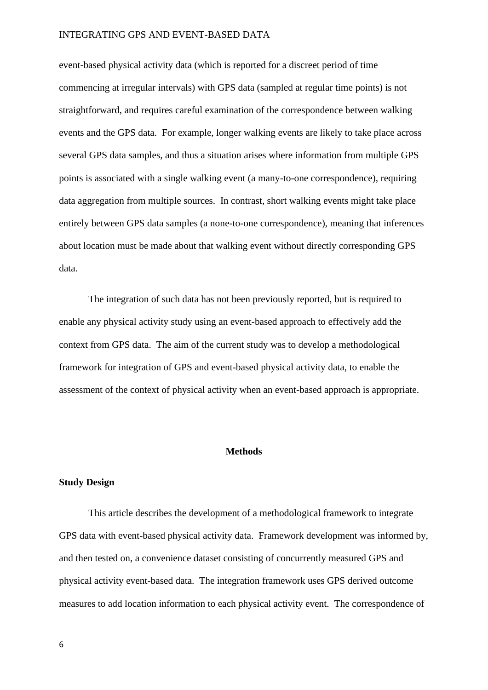event-based physical activity data (which is reported for a discreet period of time commencing at irregular intervals) with GPS data (sampled at regular time points) is not straightforward, and requires careful examination of the correspondence between walking events and the GPS data. For example, longer walking events are likely to take place across several GPS data samples, and thus a situation arises where information from multiple GPS points is associated with a single walking event (a many-to-one correspondence), requiring data aggregation from multiple sources. In contrast, short walking events might take place entirely between GPS data samples (a none-to-one correspondence), meaning that inferences about location must be made about that walking event without directly corresponding GPS data.

The integration of such data has not been previously reported, but is required to enable any physical activity study using an event-based approach to effectively add the context from GPS data. The aim of the current study was to develop a methodological framework for integration of GPS and event-based physical activity data, to enable the assessment of the context of physical activity when an event-based approach is appropriate.

#### **Methods**

#### **Study Design**

This article describes the development of a methodological framework to integrate GPS data with event-based physical activity data. Framework development was informed by, and then tested on, a convenience dataset consisting of concurrently measured GPS and physical activity event-based data. The integration framework uses GPS derived outcome measures to add location information to each physical activity event. The correspondence of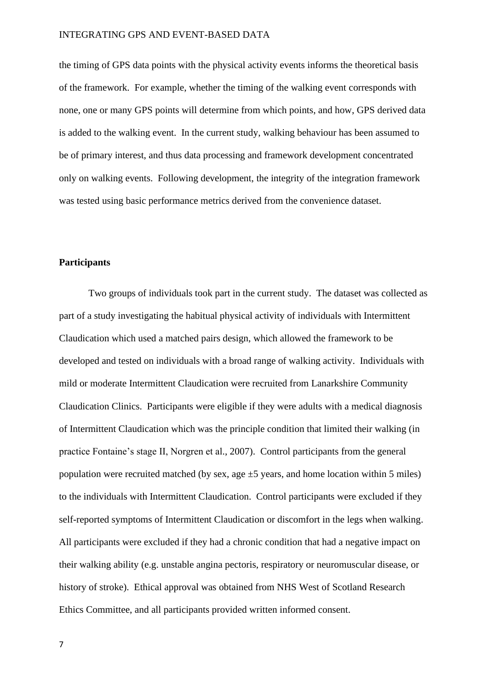the timing of GPS data points with the physical activity events informs the theoretical basis of the framework. For example, whether the timing of the walking event corresponds with none, one or many GPS points will determine from which points, and how, GPS derived data is added to the walking event. In the current study, walking behaviour has been assumed to be of primary interest, and thus data processing and framework development concentrated only on walking events. Following development, the integrity of the integration framework was tested using basic performance metrics derived from the convenience dataset.

#### **Participants**

Two groups of individuals took part in the current study. The dataset was collected as part of a study investigating the habitual physical activity of individuals with Intermittent Claudication which used a matched pairs design, which allowed the framework to be developed and tested on individuals with a broad range of walking activity. Individuals with mild or moderate Intermittent Claudication were recruited from Lanarkshire Community Claudication Clinics. Participants were eligible if they were adults with a medical diagnosis of Intermittent Claudication which was the principle condition that limited their walking (in practice Fontaine's stage II, Norgren et al., 2007). Control participants from the general population were recruited matched (by sex, age  $\pm$ 5 years, and home location within 5 miles) to the individuals with Intermittent Claudication. Control participants were excluded if they self-reported symptoms of Intermittent Claudication or discomfort in the legs when walking. All participants were excluded if they had a chronic condition that had a negative impact on their walking ability (e.g. unstable angina pectoris, respiratory or neuromuscular disease, or history of stroke). Ethical approval was obtained from NHS West of Scotland Research Ethics Committee, and all participants provided written informed consent.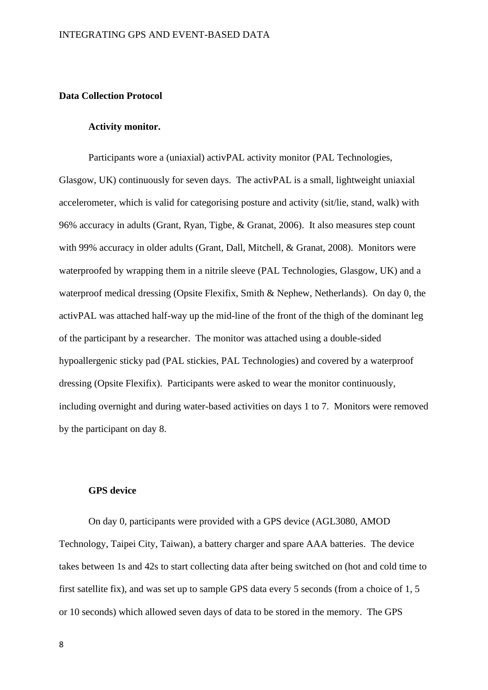## **Data Collection Protocol**

#### **Activity monitor.**

Participants wore a (uniaxial) activPAL activity monitor (PAL Technologies, Glasgow, UK) continuously for seven days. The activPAL is a small, lightweight uniaxial accelerometer, which is valid for categorising posture and activity (sit/lie, stand, walk) with 96% accuracy in adults (Grant, Ryan, Tigbe, & Granat, 2006). It also measures step count with 99% accuracy in older adults (Grant, Dall, Mitchell, & Granat, 2008). Monitors were waterproofed by wrapping them in a nitrile sleeve (PAL Technologies, Glasgow, UK) and a waterproof medical dressing (Opsite Flexifix, Smith & Nephew, Netherlands). On day 0, the activPAL was attached half-way up the mid-line of the front of the thigh of the dominant leg of the participant by a researcher. The monitor was attached using a double-sided hypoallergenic sticky pad (PAL stickies, PAL Technologies) and covered by a waterproof dressing (Opsite Flexifix). Participants were asked to wear the monitor continuously, including overnight and during water-based activities on days 1 to 7. Monitors were removed by the participant on day 8.

#### **GPS device**

On day 0, participants were provided with a GPS device (AGL3080, AMOD Technology, Taipei City, Taiwan), a battery charger and spare AAA batteries. The device takes between 1s and 42s to start collecting data after being switched on (hot and cold time to first satellite fix), and was set up to sample GPS data every 5 seconds (from a choice of 1, 5 or 10 seconds) which allowed seven days of data to be stored in the memory. The GPS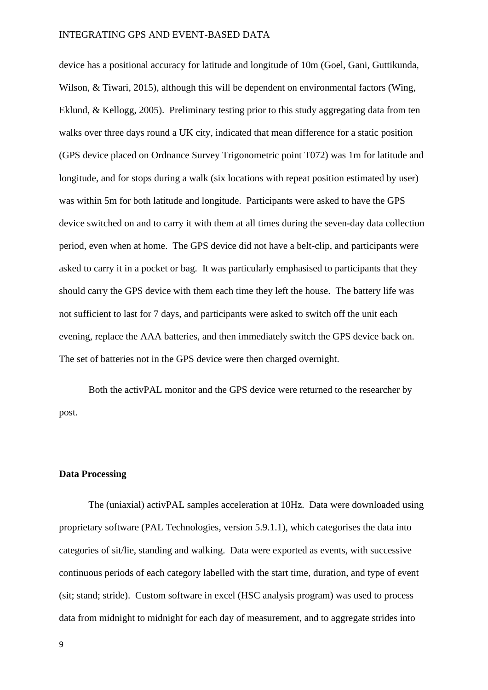device has a positional accuracy for latitude and longitude of 10m (Goel, Gani, Guttikunda, Wilson, & Tiwari, 2015), although this will be dependent on environmental factors (Wing, Eklund, & Kellogg, 2005). Preliminary testing prior to this study aggregating data from ten walks over three days round a UK city, indicated that mean difference for a static position (GPS device placed on Ordnance Survey Trigonometric point T072) was 1m for latitude and longitude, and for stops during a walk (six locations with repeat position estimated by user) was within 5m for both latitude and longitude. Participants were asked to have the GPS device switched on and to carry it with them at all times during the seven-day data collection period, even when at home. The GPS device did not have a belt-clip, and participants were asked to carry it in a pocket or bag. It was particularly emphasised to participants that they should carry the GPS device with them each time they left the house. The battery life was not sufficient to last for 7 days, and participants were asked to switch off the unit each evening, replace the AAA batteries, and then immediately switch the GPS device back on. The set of batteries not in the GPS device were then charged overnight.

Both the activPAL monitor and the GPS device were returned to the researcher by post.

#### **Data Processing**

The (uniaxial) activPAL samples acceleration at 10Hz. Data were downloaded using proprietary software (PAL Technologies, version 5.9.1.1), which categorises the data into categories of sit/lie, standing and walking. Data were exported as events, with successive continuous periods of each category labelled with the start time, duration, and type of event (sit; stand; stride). Custom software in excel (HSC analysis program) was used to process data from midnight to midnight for each day of measurement, and to aggregate strides into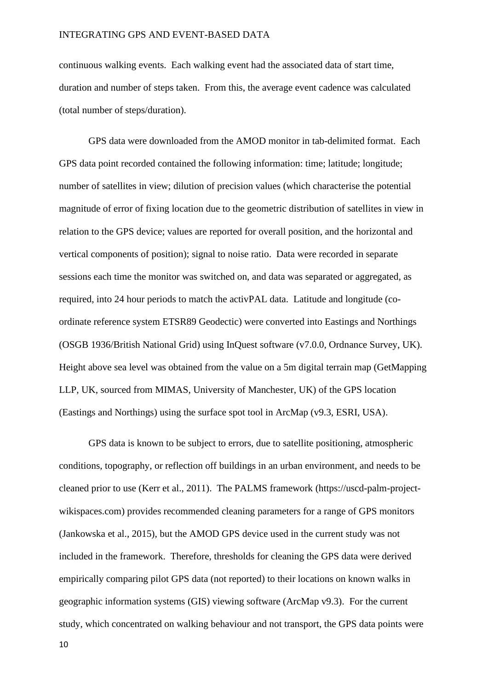continuous walking events. Each walking event had the associated data of start time, duration and number of steps taken. From this, the average event cadence was calculated (total number of steps/duration).

GPS data were downloaded from the AMOD monitor in tab-delimited format. Each GPS data point recorded contained the following information: time; latitude; longitude; number of satellites in view; dilution of precision values (which characterise the potential magnitude of error of fixing location due to the geometric distribution of satellites in view in relation to the GPS device; values are reported for overall position, and the horizontal and vertical components of position); signal to noise ratio. Data were recorded in separate sessions each time the monitor was switched on, and data was separated or aggregated, as required, into 24 hour periods to match the activPAL data. Latitude and longitude (coordinate reference system ETSR89 Geodectic) were converted into Eastings and Northings (OSGB 1936/British National Grid) using InQuest software (v7.0.0, Ordnance Survey, UK). Height above sea level was obtained from the value on a 5m digital terrain map (GetMapping LLP, UK, sourced from MIMAS, University of Manchester, UK) of the GPS location (Eastings and Northings) using the surface spot tool in ArcMap (v9.3, ESRI, USA).

GPS data is known to be subject to errors, due to satellite positioning, atmospheric conditions, topography, or reflection off buildings in an urban environment, and needs to be cleaned prior to use (Kerr et al., 2011). The PALMS framework (https://uscd-palm-projectwikispaces.com) provides recommended cleaning parameters for a range of GPS monitors (Jankowska et al., 2015), but the AMOD GPS device used in the current study was not included in the framework. Therefore, thresholds for cleaning the GPS data were derived empirically comparing pilot GPS data (not reported) to their locations on known walks in geographic information systems (GIS) viewing software (ArcMap v9.3). For the current study, which concentrated on walking behaviour and not transport, the GPS data points were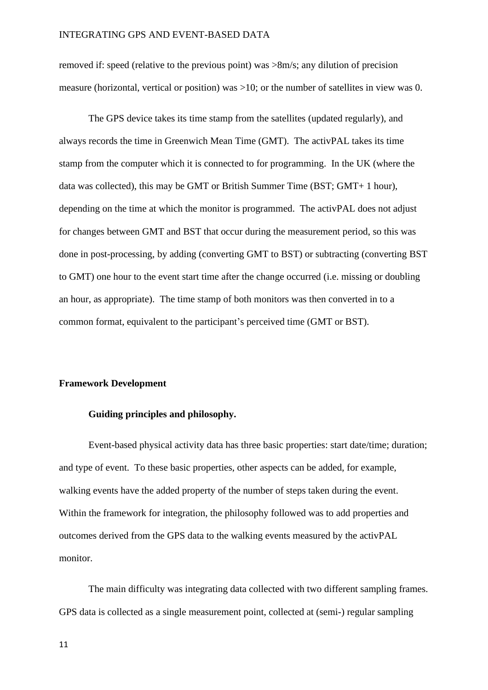removed if: speed (relative to the previous point) was >8m/s; any dilution of precision measure (horizontal, vertical or position) was >10; or the number of satellites in view was 0.

The GPS device takes its time stamp from the satellites (updated regularly), and always records the time in Greenwich Mean Time (GMT). The activPAL takes its time stamp from the computer which it is connected to for programming. In the UK (where the data was collected), this may be GMT or British Summer Time (BST; GMT+ 1 hour), depending on the time at which the monitor is programmed. The activPAL does not adjust for changes between GMT and BST that occur during the measurement period, so this was done in post-processing, by adding (converting GMT to BST) or subtracting (converting BST to GMT) one hour to the event start time after the change occurred (i.e. missing or doubling an hour, as appropriate). The time stamp of both monitors was then converted in to a common format, equivalent to the participant's perceived time (GMT or BST).

#### **Framework Development**

#### **Guiding principles and philosophy.**

Event-based physical activity data has three basic properties: start date/time; duration; and type of event. To these basic properties, other aspects can be added, for example, walking events have the added property of the number of steps taken during the event. Within the framework for integration, the philosophy followed was to add properties and outcomes derived from the GPS data to the walking events measured by the activPAL monitor.

The main difficulty was integrating data collected with two different sampling frames. GPS data is collected as a single measurement point, collected at (semi-) regular sampling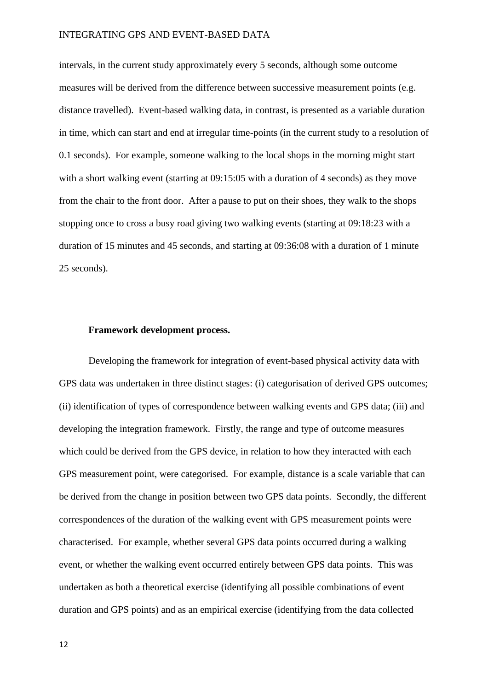intervals, in the current study approximately every 5 seconds, although some outcome measures will be derived from the difference between successive measurement points (e.g. distance travelled). Event-based walking data, in contrast, is presented as a variable duration in time, which can start and end at irregular time-points (in the current study to a resolution of 0.1 seconds). For example, someone walking to the local shops in the morning might start with a short walking event (starting at  $09:15:05$  with a duration of 4 seconds) as they move from the chair to the front door. After a pause to put on their shoes, they walk to the shops stopping once to cross a busy road giving two walking events (starting at 09:18:23 with a duration of 15 minutes and 45 seconds, and starting at 09:36:08 with a duration of 1 minute 25 seconds).

#### **Framework development process.**

Developing the framework for integration of event-based physical activity data with GPS data was undertaken in three distinct stages: (i) categorisation of derived GPS outcomes; (ii) identification of types of correspondence between walking events and GPS data; (iii) and developing the integration framework. Firstly, the range and type of outcome measures which could be derived from the GPS device, in relation to how they interacted with each GPS measurement point, were categorised. For example, distance is a scale variable that can be derived from the change in position between two GPS data points. Secondly, the different correspondences of the duration of the walking event with GPS measurement points were characterised. For example, whether several GPS data points occurred during a walking event, or whether the walking event occurred entirely between GPS data points. This was undertaken as both a theoretical exercise (identifying all possible combinations of event duration and GPS points) and as an empirical exercise (identifying from the data collected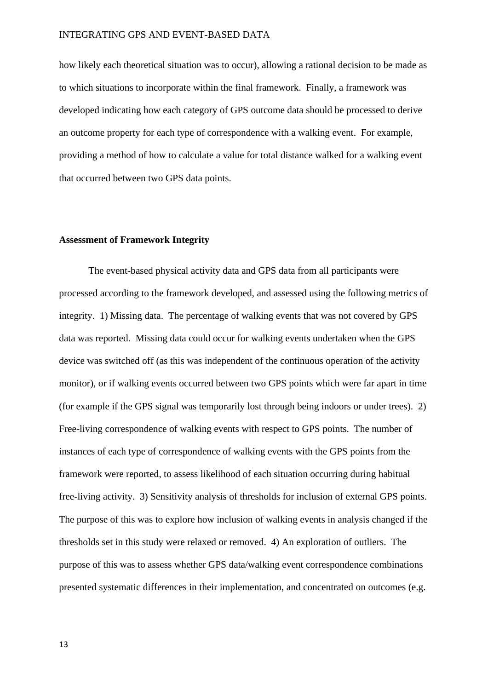how likely each theoretical situation was to occur), allowing a rational decision to be made as to which situations to incorporate within the final framework. Finally, a framework was developed indicating how each category of GPS outcome data should be processed to derive an outcome property for each type of correspondence with a walking event. For example, providing a method of how to calculate a value for total distance walked for a walking event that occurred between two GPS data points.

## **Assessment of Framework Integrity**

The event-based physical activity data and GPS data from all participants were processed according to the framework developed, and assessed using the following metrics of integrity. 1) Missing data. The percentage of walking events that was not covered by GPS data was reported. Missing data could occur for walking events undertaken when the GPS device was switched off (as this was independent of the continuous operation of the activity monitor), or if walking events occurred between two GPS points which were far apart in time (for example if the GPS signal was temporarily lost through being indoors or under trees). 2) Free-living correspondence of walking events with respect to GPS points. The number of instances of each type of correspondence of walking events with the GPS points from the framework were reported, to assess likelihood of each situation occurring during habitual free-living activity. 3) Sensitivity analysis of thresholds for inclusion of external GPS points. The purpose of this was to explore how inclusion of walking events in analysis changed if the thresholds set in this study were relaxed or removed. 4) An exploration of outliers. The purpose of this was to assess whether GPS data/walking event correspondence combinations presented systematic differences in their implementation, and concentrated on outcomes (e.g.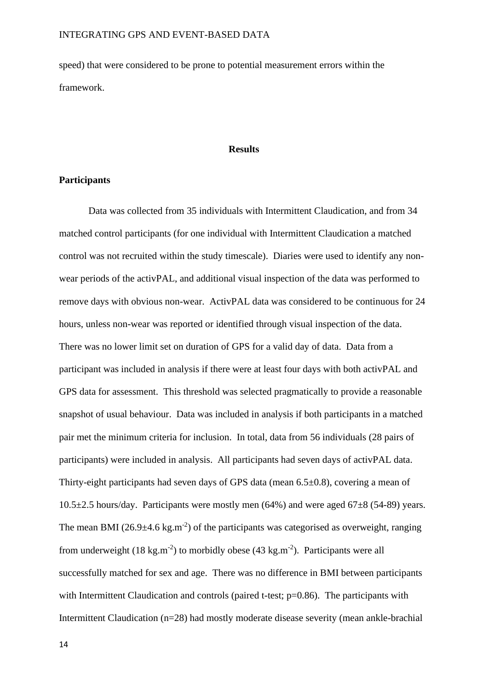speed) that were considered to be prone to potential measurement errors within the framework.

# **Results**

#### **Participants**

Data was collected from 35 individuals with Intermittent Claudication, and from 34 matched control participants (for one individual with Intermittent Claudication a matched control was not recruited within the study timescale). Diaries were used to identify any nonwear periods of the activPAL, and additional visual inspection of the data was performed to remove days with obvious non-wear. ActivPAL data was considered to be continuous for 24 hours, unless non-wear was reported or identified through visual inspection of the data. There was no lower limit set on duration of GPS for a valid day of data. Data from a participant was included in analysis if there were at least four days with both activPAL and GPS data for assessment. This threshold was selected pragmatically to provide a reasonable snapshot of usual behaviour. Data was included in analysis if both participants in a matched pair met the minimum criteria for inclusion. In total, data from 56 individuals (28 pairs of participants) were included in analysis. All participants had seven days of activPAL data. Thirty-eight participants had seven days of GPS data (mean 6.5±0.8), covering a mean of  $10.5\pm2.5$  hours/day. Participants were mostly men (64%) and were aged 67 $\pm8$  (54-89) years. The mean BMI (26.9 $\pm$ 4.6 kg.m<sup>-2</sup>) of the participants was categorised as overweight, ranging from underweight  $(18 \text{ kg.m}^{-2})$  to morbidly obese  $(43 \text{ kg.m}^{-2})$ . Participants were all successfully matched for sex and age. There was no difference in BMI between participants with Intermittent Claudication and controls (paired t-test; p=0.86). The participants with Intermittent Claudication (n=28) had mostly moderate disease severity (mean ankle-brachial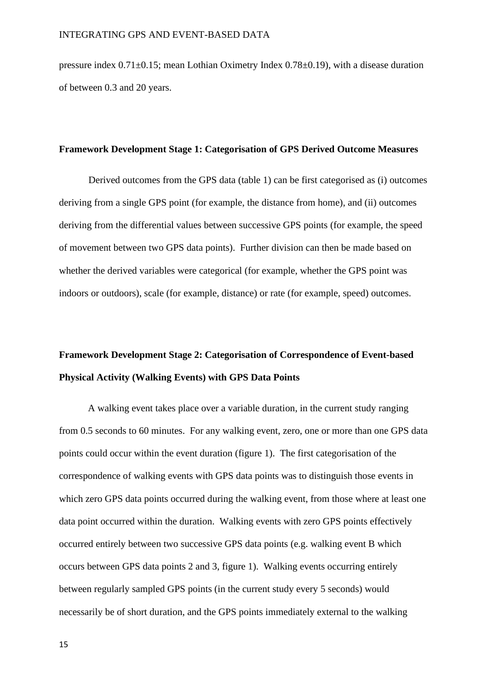pressure index 0.71±0.15; mean Lothian Oximetry Index 0.78±0.19), with a disease duration of between 0.3 and 20 years.

#### **Framework Development Stage 1: Categorisation of GPS Derived Outcome Measures**

Derived outcomes from the GPS data (table 1) can be first categorised as (i) outcomes deriving from a single GPS point (for example, the distance from home), and (ii) outcomes deriving from the differential values between successive GPS points (for example, the speed of movement between two GPS data points). Further division can then be made based on whether the derived variables were categorical (for example, whether the GPS point was indoors or outdoors), scale (for example, distance) or rate (for example, speed) outcomes.

# **Framework Development Stage 2: Categorisation of Correspondence of Event-based Physical Activity (Walking Events) with GPS Data Points**

A walking event takes place over a variable duration, in the current study ranging from 0.5 seconds to 60 minutes. For any walking event, zero, one or more than one GPS data points could occur within the event duration (figure 1). The first categorisation of the correspondence of walking events with GPS data points was to distinguish those events in which zero GPS data points occurred during the walking event, from those where at least one data point occurred within the duration. Walking events with zero GPS points effectively occurred entirely between two successive GPS data points (e.g. walking event B which occurs between GPS data points 2 and 3, figure 1). Walking events occurring entirely between regularly sampled GPS points (in the current study every 5 seconds) would necessarily be of short duration, and the GPS points immediately external to the walking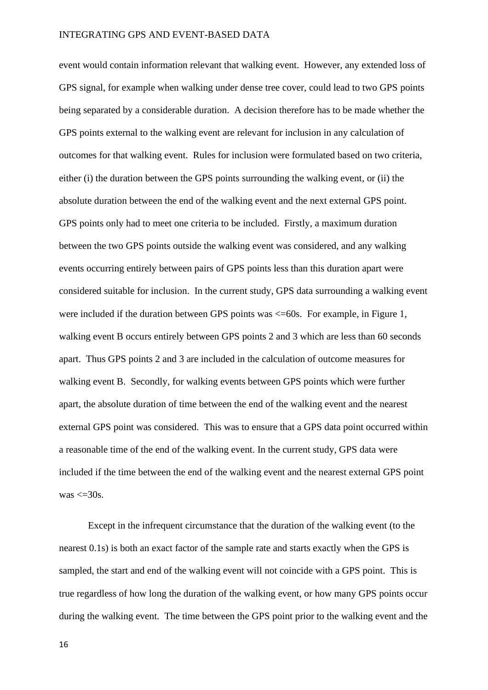event would contain information relevant that walking event. However, any extended loss of GPS signal, for example when walking under dense tree cover, could lead to two GPS points being separated by a considerable duration. A decision therefore has to be made whether the GPS points external to the walking event are relevant for inclusion in any calculation of outcomes for that walking event. Rules for inclusion were formulated based on two criteria, either (i) the duration between the GPS points surrounding the walking event, or (ii) the absolute duration between the end of the walking event and the next external GPS point. GPS points only had to meet one criteria to be included. Firstly, a maximum duration between the two GPS points outside the walking event was considered, and any walking events occurring entirely between pairs of GPS points less than this duration apart were considered suitable for inclusion. In the current study, GPS data surrounding a walking event were included if the duration between GPS points was  $\leq$ =60s. For example, in Figure 1, walking event B occurs entirely between GPS points 2 and 3 which are less than 60 seconds apart. Thus GPS points 2 and 3 are included in the calculation of outcome measures for walking event B. Secondly, for walking events between GPS points which were further apart, the absolute duration of time between the end of the walking event and the nearest external GPS point was considered. This was to ensure that a GPS data point occurred within a reasonable time of the end of the walking event. In the current study, GPS data were included if the time between the end of the walking event and the nearest external GPS point was  $\leq$  30s.

Except in the infrequent circumstance that the duration of the walking event (to the nearest 0.1s) is both an exact factor of the sample rate and starts exactly when the GPS is sampled, the start and end of the walking event will not coincide with a GPS point. This is true regardless of how long the duration of the walking event, or how many GPS points occur during the walking event. The time between the GPS point prior to the walking event and the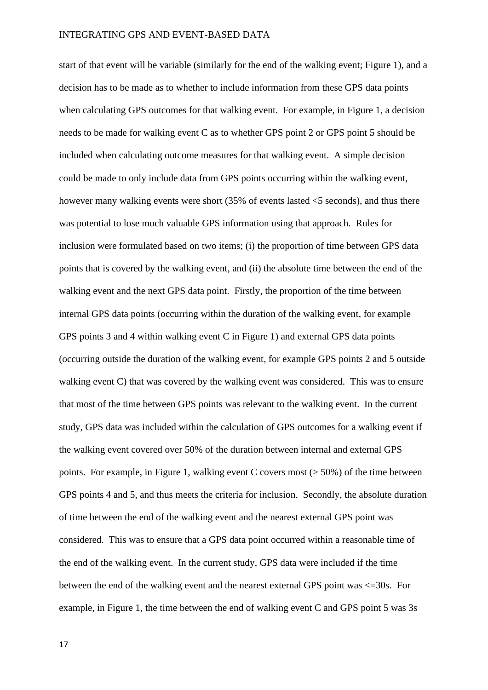start of that event will be variable (similarly for the end of the walking event; Figure 1), and a decision has to be made as to whether to include information from these GPS data points when calculating GPS outcomes for that walking event. For example, in Figure 1, a decision needs to be made for walking event C as to whether GPS point 2 or GPS point 5 should be included when calculating outcome measures for that walking event. A simple decision could be made to only include data from GPS points occurring within the walking event, however many walking events were short (35% of events lasted <5 seconds), and thus there was potential to lose much valuable GPS information using that approach. Rules for inclusion were formulated based on two items; (i) the proportion of time between GPS data points that is covered by the walking event, and (ii) the absolute time between the end of the walking event and the next GPS data point. Firstly, the proportion of the time between internal GPS data points (occurring within the duration of the walking event, for example GPS points 3 and 4 within walking event C in Figure 1) and external GPS data points (occurring outside the duration of the walking event, for example GPS points 2 and 5 outside walking event C) that was covered by the walking event was considered. This was to ensure that most of the time between GPS points was relevant to the walking event. In the current study, GPS data was included within the calculation of GPS outcomes for a walking event if the walking event covered over 50% of the duration between internal and external GPS points. For example, in Figure 1, walking event C covers most  $($  > 50%) of the time between GPS points 4 and 5, and thus meets the criteria for inclusion. Secondly, the absolute duration of time between the end of the walking event and the nearest external GPS point was considered. This was to ensure that a GPS data point occurred within a reasonable time of the end of the walking event. In the current study, GPS data were included if the time between the end of the walking event and the nearest external GPS point was <=30s. For example, in Figure 1, the time between the end of walking event C and GPS point 5 was 3s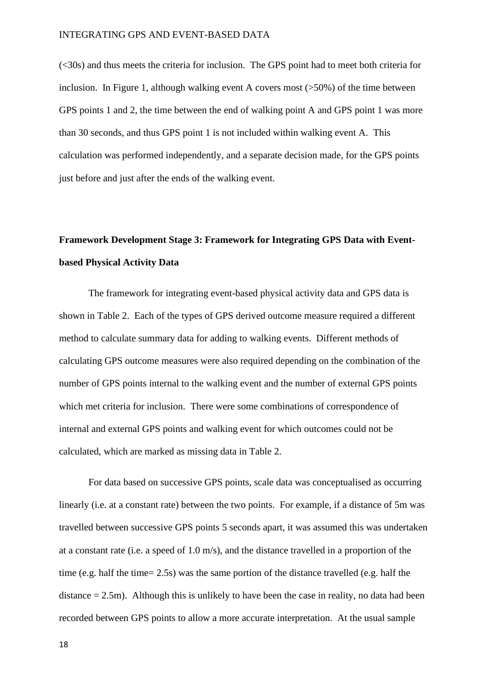(<30s) and thus meets the criteria for inclusion. The GPS point had to meet both criteria for inclusion. In Figure 1, although walking event A covers most (>50%) of the time between GPS points 1 and 2, the time between the end of walking point A and GPS point 1 was more than 30 seconds, and thus GPS point 1 is not included within walking event A. This calculation was performed independently, and a separate decision made, for the GPS points just before and just after the ends of the walking event.

# **Framework Development Stage 3: Framework for Integrating GPS Data with Eventbased Physical Activity Data**

The framework for integrating event-based physical activity data and GPS data is shown in Table 2. Each of the types of GPS derived outcome measure required a different method to calculate summary data for adding to walking events. Different methods of calculating GPS outcome measures were also required depending on the combination of the number of GPS points internal to the walking event and the number of external GPS points which met criteria for inclusion. There were some combinations of correspondence of internal and external GPS points and walking event for which outcomes could not be calculated, which are marked as missing data in Table 2.

For data based on successive GPS points, scale data was conceptualised as occurring linearly (i.e. at a constant rate) between the two points. For example, if a distance of 5m was travelled between successive GPS points 5 seconds apart, it was assumed this was undertaken at a constant rate (i.e. a speed of 1.0 m/s), and the distance travelled in a proportion of the time (e.g. half the time= 2.5s) was the same portion of the distance travelled (e.g. half the distance  $= 2.5$ m). Although this is unlikely to have been the case in reality, no data had been recorded between GPS points to allow a more accurate interpretation. At the usual sample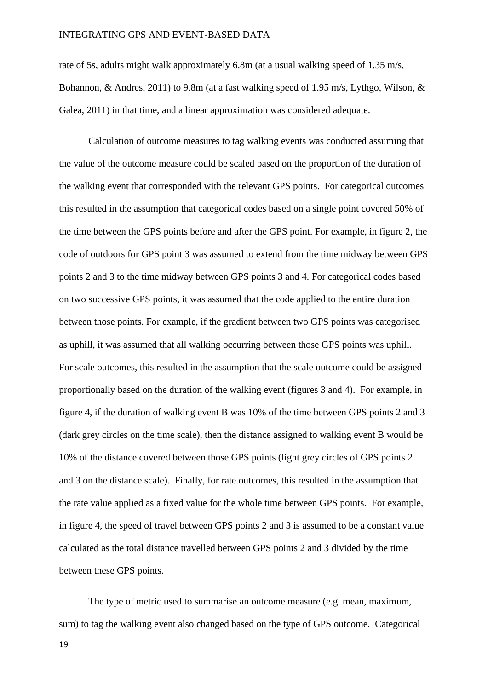rate of 5s, adults might walk approximately 6.8m (at a usual walking speed of 1.35 m/s, Bohannon, & Andres, 2011) to 9.8m (at a fast walking speed of 1.95 m/s, Lythgo, Wilson, & Galea, 2011) in that time, and a linear approximation was considered adequate.

Calculation of outcome measures to tag walking events was conducted assuming that the value of the outcome measure could be scaled based on the proportion of the duration of the walking event that corresponded with the relevant GPS points. For categorical outcomes this resulted in the assumption that categorical codes based on a single point covered 50% of the time between the GPS points before and after the GPS point. For example, in figure 2, the code of outdoors for GPS point 3 was assumed to extend from the time midway between GPS points 2 and 3 to the time midway between GPS points 3 and 4. For categorical codes based on two successive GPS points, it was assumed that the code applied to the entire duration between those points. For example, if the gradient between two GPS points was categorised as uphill, it was assumed that all walking occurring between those GPS points was uphill. For scale outcomes, this resulted in the assumption that the scale outcome could be assigned proportionally based on the duration of the walking event (figures 3 and 4). For example, in figure 4, if the duration of walking event B was 10% of the time between GPS points 2 and 3 (dark grey circles on the time scale), then the distance assigned to walking event B would be 10% of the distance covered between those GPS points (light grey circles of GPS points 2 and 3 on the distance scale). Finally, for rate outcomes, this resulted in the assumption that the rate value applied as a fixed value for the whole time between GPS points. For example, in figure 4, the speed of travel between GPS points 2 and 3 is assumed to be a constant value calculated as the total distance travelled between GPS points 2 and 3 divided by the time between these GPS points.

The type of metric used to summarise an outcome measure (e.g. mean, maximum, sum) to tag the walking event also changed based on the type of GPS outcome. Categorical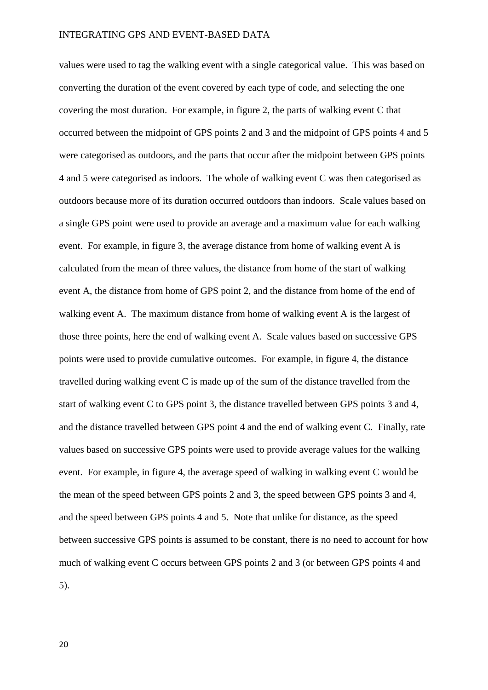values were used to tag the walking event with a single categorical value. This was based on converting the duration of the event covered by each type of code, and selecting the one covering the most duration. For example, in figure 2, the parts of walking event C that occurred between the midpoint of GPS points 2 and 3 and the midpoint of GPS points 4 and 5 were categorised as outdoors, and the parts that occur after the midpoint between GPS points 4 and 5 were categorised as indoors. The whole of walking event C was then categorised as outdoors because more of its duration occurred outdoors than indoors. Scale values based on a single GPS point were used to provide an average and a maximum value for each walking event. For example, in figure 3, the average distance from home of walking event A is calculated from the mean of three values, the distance from home of the start of walking event A, the distance from home of GPS point 2, and the distance from home of the end of walking event A. The maximum distance from home of walking event A is the largest of those three points, here the end of walking event A. Scale values based on successive GPS points were used to provide cumulative outcomes. For example, in figure 4, the distance travelled during walking event C is made up of the sum of the distance travelled from the start of walking event C to GPS point 3, the distance travelled between GPS points 3 and 4, and the distance travelled between GPS point 4 and the end of walking event C. Finally, rate values based on successive GPS points were used to provide average values for the walking event. For example, in figure 4, the average speed of walking in walking event C would be the mean of the speed between GPS points 2 and 3, the speed between GPS points 3 and 4, and the speed between GPS points 4 and 5. Note that unlike for distance, as the speed between successive GPS points is assumed to be constant, there is no need to account for how much of walking event C occurs between GPS points 2 and 3 (or between GPS points 4 and 5).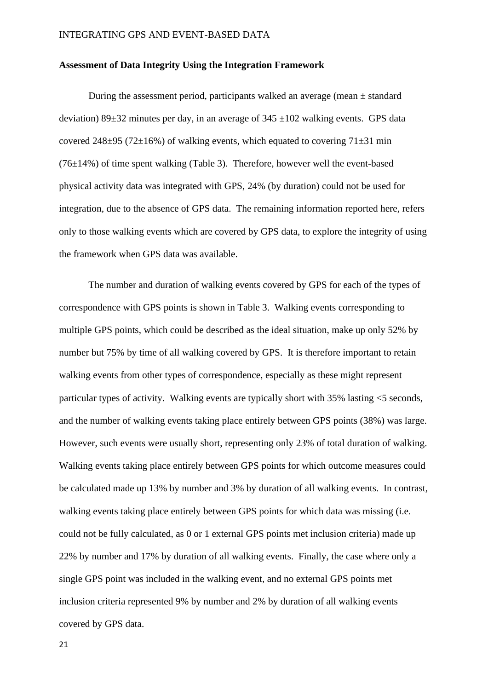#### **Assessment of Data Integrity Using the Integration Framework**

During the assessment period, participants walked an average (mean  $\pm$  standard deviation) 89 $\pm$ 32 minutes per day, in an average of 345  $\pm$ 102 walking events. GPS data covered  $248\pm95$  (72 $\pm16\%$ ) of walking events, which equated to covering 71 $\pm31$  min  $(76\pm14\%)$  of time spent walking (Table 3). Therefore, however well the event-based physical activity data was integrated with GPS, 24% (by duration) could not be used for integration, due to the absence of GPS data. The remaining information reported here, refers only to those walking events which are covered by GPS data, to explore the integrity of using the framework when GPS data was available.

The number and duration of walking events covered by GPS for each of the types of correspondence with GPS points is shown in Table 3. Walking events corresponding to multiple GPS points, which could be described as the ideal situation, make up only 52% by number but 75% by time of all walking covered by GPS. It is therefore important to retain walking events from other types of correspondence, especially as these might represent particular types of activity. Walking events are typically short with 35% lasting <5 seconds, and the number of walking events taking place entirely between GPS points (38%) was large. However, such events were usually short, representing only 23% of total duration of walking. Walking events taking place entirely between GPS points for which outcome measures could be calculated made up 13% by number and 3% by duration of all walking events. In contrast, walking events taking place entirely between GPS points for which data was missing (i.e. could not be fully calculated, as 0 or 1 external GPS points met inclusion criteria) made up 22% by number and 17% by duration of all walking events. Finally, the case where only a single GPS point was included in the walking event, and no external GPS points met inclusion criteria represented 9% by number and 2% by duration of all walking events covered by GPS data.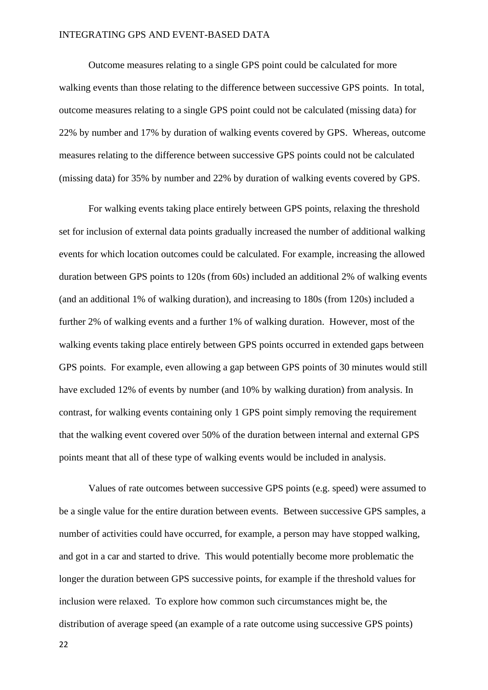Outcome measures relating to a single GPS point could be calculated for more walking events than those relating to the difference between successive GPS points. In total, outcome measures relating to a single GPS point could not be calculated (missing data) for 22% by number and 17% by duration of walking events covered by GPS. Whereas, outcome measures relating to the difference between successive GPS points could not be calculated (missing data) for 35% by number and 22% by duration of walking events covered by GPS.

For walking events taking place entirely between GPS points, relaxing the threshold set for inclusion of external data points gradually increased the number of additional walking events for which location outcomes could be calculated. For example, increasing the allowed duration between GPS points to 120s (from 60s) included an additional 2% of walking events (and an additional 1% of walking duration), and increasing to 180s (from 120s) included a further 2% of walking events and a further 1% of walking duration. However, most of the walking events taking place entirely between GPS points occurred in extended gaps between GPS points. For example, even allowing a gap between GPS points of 30 minutes would still have excluded 12% of events by number (and 10% by walking duration) from analysis. In contrast, for walking events containing only 1 GPS point simply removing the requirement that the walking event covered over 50% of the duration between internal and external GPS points meant that all of these type of walking events would be included in analysis.

Values of rate outcomes between successive GPS points (e.g. speed) were assumed to be a single value for the entire duration between events. Between successive GPS samples, a number of activities could have occurred, for example, a person may have stopped walking, and got in a car and started to drive. This would potentially become more problematic the longer the duration between GPS successive points, for example if the threshold values for inclusion were relaxed. To explore how common such circumstances might be, the distribution of average speed (an example of a rate outcome using successive GPS points)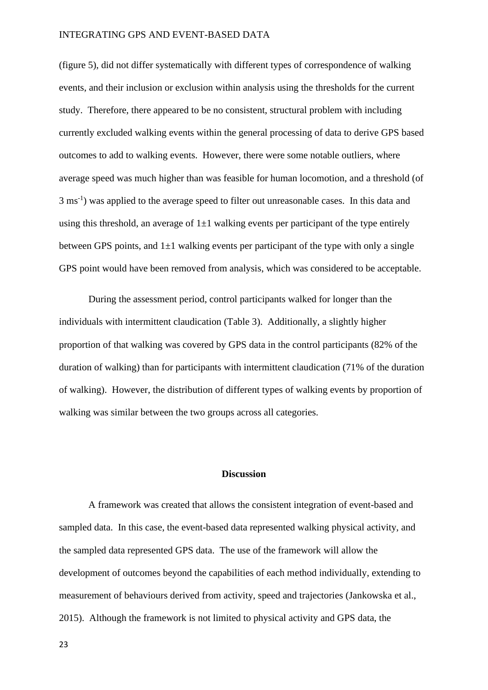(figure 5), did not differ systematically with different types of correspondence of walking events, and their inclusion or exclusion within analysis using the thresholds for the current study. Therefore, there appeared to be no consistent, structural problem with including currently excluded walking events within the general processing of data to derive GPS based outcomes to add to walking events. However, there were some notable outliers, where average speed was much higher than was feasible for human locomotion, and a threshold (of 3 ms<sup>-1</sup>) was applied to the average speed to filter out unreasonable cases. In this data and using this threshold, an average of  $1\pm 1$  walking events per participant of the type entirely between GPS points, and  $1\pm 1$  walking events per participant of the type with only a single GPS point would have been removed from analysis, which was considered to be acceptable.

During the assessment period, control participants walked for longer than the individuals with intermittent claudication (Table 3). Additionally, a slightly higher proportion of that walking was covered by GPS data in the control participants (82% of the duration of walking) than for participants with intermittent claudication (71% of the duration of walking). However, the distribution of different types of walking events by proportion of walking was similar between the two groups across all categories.

#### **Discussion**

A framework was created that allows the consistent integration of event-based and sampled data. In this case, the event-based data represented walking physical activity, and the sampled data represented GPS data. The use of the framework will allow the development of outcomes beyond the capabilities of each method individually, extending to measurement of behaviours derived from activity, speed and trajectories (Jankowska et al., 2015). Although the framework is not limited to physical activity and GPS data, the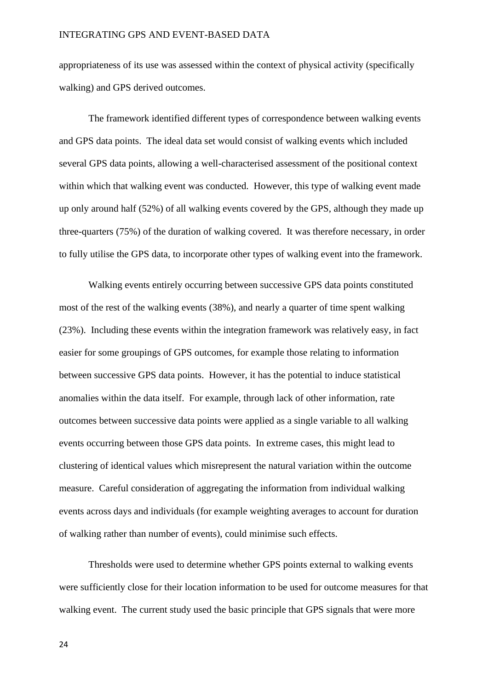appropriateness of its use was assessed within the context of physical activity (specifically walking) and GPS derived outcomes.

The framework identified different types of correspondence between walking events and GPS data points. The ideal data set would consist of walking events which included several GPS data points, allowing a well-characterised assessment of the positional context within which that walking event was conducted. However, this type of walking event made up only around half (52%) of all walking events covered by the GPS, although they made up three-quarters (75%) of the duration of walking covered. It was therefore necessary, in order to fully utilise the GPS data, to incorporate other types of walking event into the framework.

Walking events entirely occurring between successive GPS data points constituted most of the rest of the walking events (38%), and nearly a quarter of time spent walking (23%). Including these events within the integration framework was relatively easy, in fact easier for some groupings of GPS outcomes, for example those relating to information between successive GPS data points. However, it has the potential to induce statistical anomalies within the data itself. For example, through lack of other information, rate outcomes between successive data points were applied as a single variable to all walking events occurring between those GPS data points. In extreme cases, this might lead to clustering of identical values which misrepresent the natural variation within the outcome measure. Careful consideration of aggregating the information from individual walking events across days and individuals (for example weighting averages to account for duration of walking rather than number of events), could minimise such effects.

Thresholds were used to determine whether GPS points external to walking events were sufficiently close for their location information to be used for outcome measures for that walking event. The current study used the basic principle that GPS signals that were more

24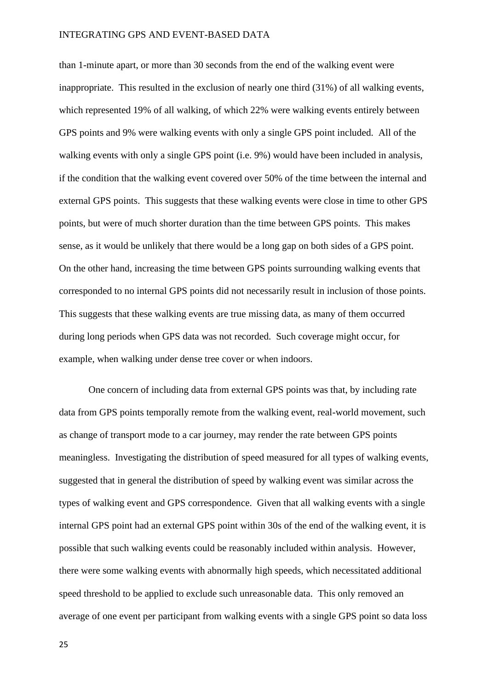than 1-minute apart, or more than 30 seconds from the end of the walking event were inappropriate. This resulted in the exclusion of nearly one third (31%) of all walking events, which represented 19% of all walking, of which 22% were walking events entirely between GPS points and 9% were walking events with only a single GPS point included. All of the walking events with only a single GPS point (i.e. 9%) would have been included in analysis, if the condition that the walking event covered over 50% of the time between the internal and external GPS points. This suggests that these walking events were close in time to other GPS points, but were of much shorter duration than the time between GPS points. This makes sense, as it would be unlikely that there would be a long gap on both sides of a GPS point. On the other hand, increasing the time between GPS points surrounding walking events that corresponded to no internal GPS points did not necessarily result in inclusion of those points. This suggests that these walking events are true missing data, as many of them occurred during long periods when GPS data was not recorded. Such coverage might occur, for example, when walking under dense tree cover or when indoors.

One concern of including data from external GPS points was that, by including rate data from GPS points temporally remote from the walking event, real-world movement, such as change of transport mode to a car journey, may render the rate between GPS points meaningless. Investigating the distribution of speed measured for all types of walking events, suggested that in general the distribution of speed by walking event was similar across the types of walking event and GPS correspondence. Given that all walking events with a single internal GPS point had an external GPS point within 30s of the end of the walking event, it is possible that such walking events could be reasonably included within analysis. However, there were some walking events with abnormally high speeds, which necessitated additional speed threshold to be applied to exclude such unreasonable data. This only removed an average of one event per participant from walking events with a single GPS point so data loss

25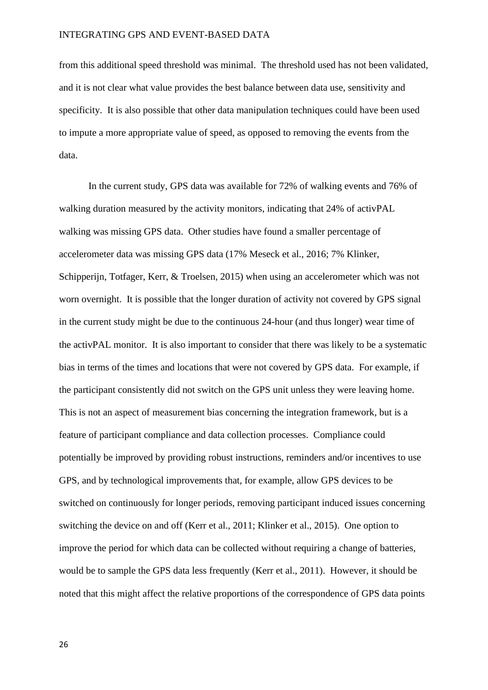from this additional speed threshold was minimal. The threshold used has not been validated, and it is not clear what value provides the best balance between data use, sensitivity and specificity. It is also possible that other data manipulation techniques could have been used to impute a more appropriate value of speed, as opposed to removing the events from the data.

In the current study, GPS data was available for 72% of walking events and 76% of walking duration measured by the activity monitors, indicating that 24% of activPAL walking was missing GPS data. Other studies have found a smaller percentage of accelerometer data was missing GPS data (17% Meseck et al., 2016; 7% Klinker, Schipperijn, Totfager, Kerr, & Troelsen, 2015) when using an accelerometer which was not worn overnight. It is possible that the longer duration of activity not covered by GPS signal in the current study might be due to the continuous 24-hour (and thus longer) wear time of the activPAL monitor. It is also important to consider that there was likely to be a systematic bias in terms of the times and locations that were not covered by GPS data. For example, if the participant consistently did not switch on the GPS unit unless they were leaving home. This is not an aspect of measurement bias concerning the integration framework, but is a feature of participant compliance and data collection processes. Compliance could potentially be improved by providing robust instructions, reminders and/or incentives to use GPS, and by technological improvements that, for example, allow GPS devices to be switched on continuously for longer periods, removing participant induced issues concerning switching the device on and off (Kerr et al., 2011; Klinker et al., 2015). One option to improve the period for which data can be collected without requiring a change of batteries, would be to sample the GPS data less frequently (Kerr et al., 2011). However, it should be noted that this might affect the relative proportions of the correspondence of GPS data points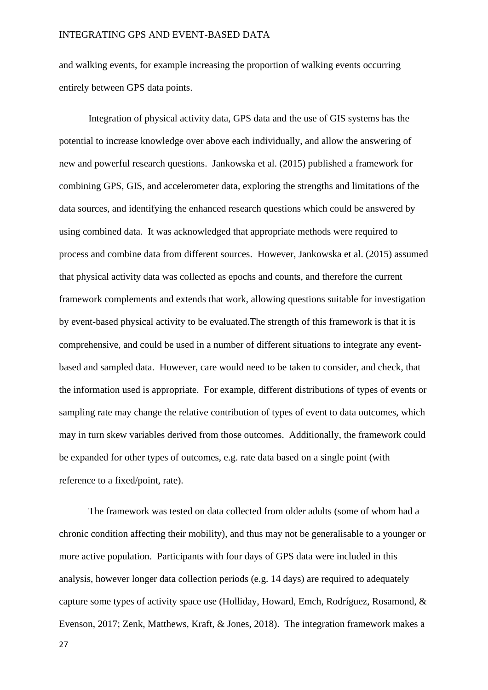and walking events, for example increasing the proportion of walking events occurring entirely between GPS data points.

Integration of physical activity data, GPS data and the use of GIS systems has the potential to increase knowledge over above each individually, and allow the answering of new and powerful research questions. Jankowska et al. (2015) published a framework for combining GPS, GIS, and accelerometer data, exploring the strengths and limitations of the data sources, and identifying the enhanced research questions which could be answered by using combined data. It was acknowledged that appropriate methods were required to process and combine data from different sources. However, Jankowska et al. (2015) assumed that physical activity data was collected as epochs and counts, and therefore the current framework complements and extends that work, allowing questions suitable for investigation by event-based physical activity to be evaluated.The strength of this framework is that it is comprehensive, and could be used in a number of different situations to integrate any eventbased and sampled data. However, care would need to be taken to consider, and check, that the information used is appropriate. For example, different distributions of types of events or sampling rate may change the relative contribution of types of event to data outcomes, which may in turn skew variables derived from those outcomes. Additionally, the framework could be expanded for other types of outcomes, e.g. rate data based on a single point (with reference to a fixed/point, rate).

The framework was tested on data collected from older adults (some of whom had a chronic condition affecting their mobility), and thus may not be generalisable to a younger or more active population. Participants with four days of GPS data were included in this analysis, however longer data collection periods (e.g. 14 days) are required to adequately capture some types of activity space use (Holliday, Howard, Emch, Rodríguez, Rosamond, & Evenson, 2017; Zenk, Matthews, Kraft, & Jones, 2018). The integration framework makes a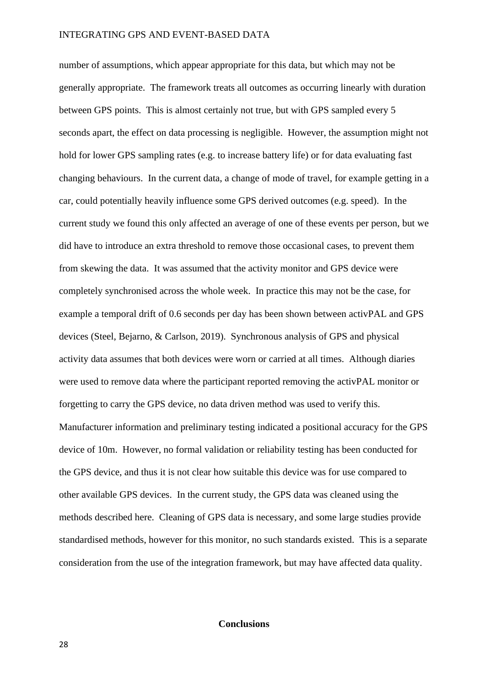number of assumptions, which appear appropriate for this data, but which may not be generally appropriate. The framework treats all outcomes as occurring linearly with duration between GPS points. This is almost certainly not true, but with GPS sampled every 5 seconds apart, the effect on data processing is negligible. However, the assumption might not hold for lower GPS sampling rates (e.g. to increase battery life) or for data evaluating fast changing behaviours. In the current data, a change of mode of travel, for example getting in a car, could potentially heavily influence some GPS derived outcomes (e.g. speed). In the current study we found this only affected an average of one of these events per person, but we did have to introduce an extra threshold to remove those occasional cases, to prevent them from skewing the data. It was assumed that the activity monitor and GPS device were completely synchronised across the whole week. In practice this may not be the case, for example a temporal drift of 0.6 seconds per day has been shown between activPAL and GPS devices (Steel, Bejarno, & Carlson, 2019). Synchronous analysis of GPS and physical activity data assumes that both devices were worn or carried at all times. Although diaries were used to remove data where the participant reported removing the activPAL monitor or forgetting to carry the GPS device, no data driven method was used to verify this. Manufacturer information and preliminary testing indicated a positional accuracy for the GPS device of 10m. However, no formal validation or reliability testing has been conducted for the GPS device, and thus it is not clear how suitable this device was for use compared to other available GPS devices. In the current study, the GPS data was cleaned using the methods described here. Cleaning of GPS data is necessary, and some large studies provide standardised methods, however for this monitor, no such standards existed. This is a separate consideration from the use of the integration framework, but may have affected data quality.

# **Conclusions**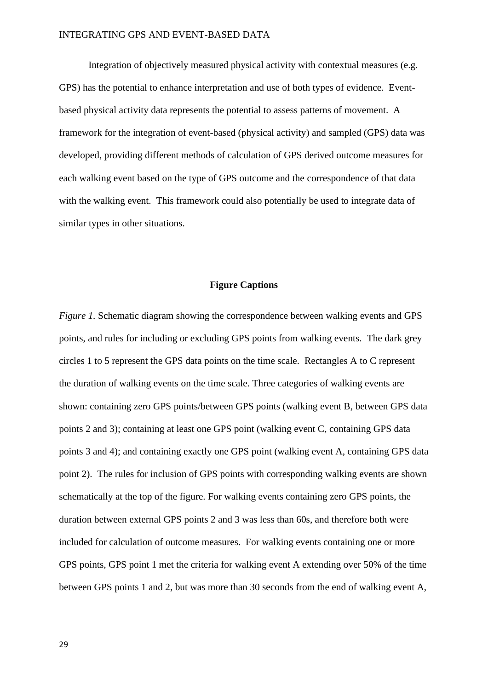Integration of objectively measured physical activity with contextual measures (e.g. GPS) has the potential to enhance interpretation and use of both types of evidence. Eventbased physical activity data represents the potential to assess patterns of movement. A framework for the integration of event-based (physical activity) and sampled (GPS) data was developed, providing different methods of calculation of GPS derived outcome measures for each walking event based on the type of GPS outcome and the correspondence of that data with the walking event. This framework could also potentially be used to integrate data of similar types in other situations.

# **Figure Captions**

*Figure 1.* Schematic diagram showing the correspondence between walking events and GPS points, and rules for including or excluding GPS points from walking events. The dark grey circles 1 to 5 represent the GPS data points on the time scale. Rectangles A to C represent the duration of walking events on the time scale. Three categories of walking events are shown: containing zero GPS points/between GPS points (walking event B, between GPS data points 2 and 3); containing at least one GPS point (walking event C, containing GPS data points 3 and 4); and containing exactly one GPS point (walking event A, containing GPS data point 2). The rules for inclusion of GPS points with corresponding walking events are shown schematically at the top of the figure. For walking events containing zero GPS points, the duration between external GPS points 2 and 3 was less than 60s, and therefore both were included for calculation of outcome measures. For walking events containing one or more GPS points, GPS point 1 met the criteria for walking event A extending over 50% of the time between GPS points 1 and 2, but was more than 30 seconds from the end of walking event A,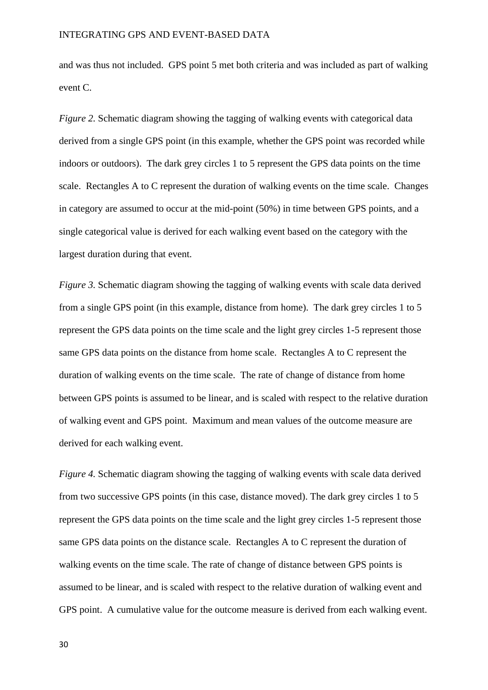and was thus not included. GPS point 5 met both criteria and was included as part of walking event C.

*Figure 2.* Schematic diagram showing the tagging of walking events with categorical data derived from a single GPS point (in this example, whether the GPS point was recorded while indoors or outdoors). The dark grey circles 1 to 5 represent the GPS data points on the time scale. Rectangles A to C represent the duration of walking events on the time scale. Changes in category are assumed to occur at the mid-point (50%) in time between GPS points, and a single categorical value is derived for each walking event based on the category with the largest duration during that event.

*Figure 3.* Schematic diagram showing the tagging of walking events with scale data derived from a single GPS point (in this example, distance from home). The dark grey circles 1 to 5 represent the GPS data points on the time scale and the light grey circles 1-5 represent those same GPS data points on the distance from home scale. Rectangles A to C represent the duration of walking events on the time scale. The rate of change of distance from home between GPS points is assumed to be linear, and is scaled with respect to the relative duration of walking event and GPS point. Maximum and mean values of the outcome measure are derived for each walking event.

*Figure 4.* Schematic diagram showing the tagging of walking events with scale data derived from two successive GPS points (in this case, distance moved). The dark grey circles 1 to 5 represent the GPS data points on the time scale and the light grey circles 1-5 represent those same GPS data points on the distance scale. Rectangles A to C represent the duration of walking events on the time scale. The rate of change of distance between GPS points is assumed to be linear, and is scaled with respect to the relative duration of walking event and GPS point. A cumulative value for the outcome measure is derived from each walking event.

30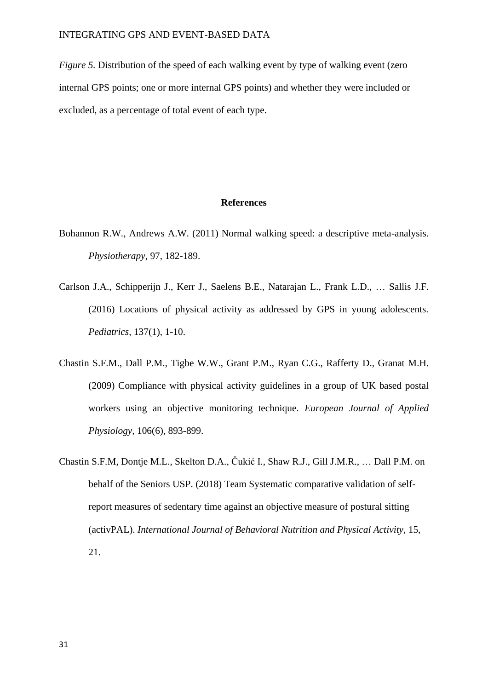*Figure 5.* Distribution of the speed of each walking event by type of walking event (zero internal GPS points; one or more internal GPS points) and whether they were included or excluded, as a percentage of total event of each type.

#### **References**

- Bohannon R.W., Andrews A.W. (2011) Normal walking speed: a descriptive meta-analysis. *Physiotherapy,* 97, 182-189.
- Carlson J.A., Schipperijn J., Kerr J., Saelens B.E., Natarajan L., Frank L.D., … Sallis J.F. (2016) Locations of physical activity as addressed by GPS in young adolescents. *Pediatrics,* 137(1), 1-10.
- Chastin S.F.M., Dall P.M., Tigbe W.W., Grant P.M., Ryan C.G., Rafferty D., Granat M.H. (2009) Compliance with physical activity guidelines in a group of UK based postal workers using an objective monitoring technique. *European Journal of Applied Physiology,* 106(6), 893-899.
- Chastin S.F.M, Dontje M.L., Skelton D.A., Čukić I., Shaw R.J., Gill J.M.R., … Dall P.M. on behalf of the Seniors USP. (2018) Team Systematic comparative validation of selfreport measures of sedentary time against an objective measure of postural sitting (activPAL). *International Journal of Behavioral Nutrition and Physical Activity,* 15, 21.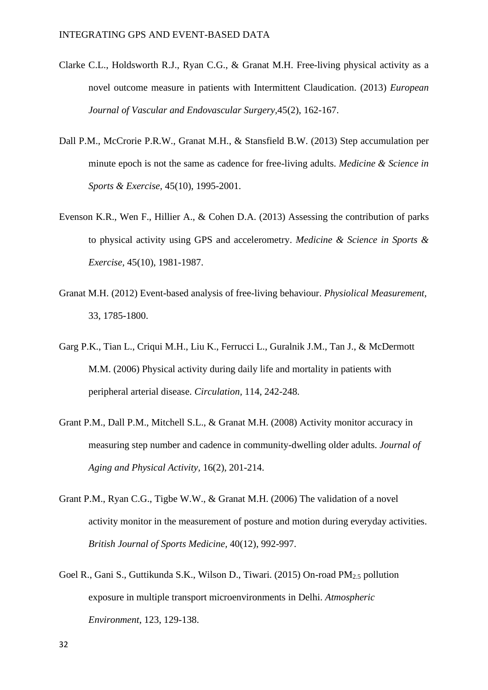- Clarke C.L., Holdsworth R.J., Ryan C.G., & Granat M.H. Free-living physical activity as a novel outcome measure in patients with Intermittent Claudication. (2013) *European Journal of Vascular and Endovascular Surgery,*45(2), 162-167.
- Dall P.M., McCrorie P.R.W., Granat M.H., & Stansfield B.W. (2013) Step accumulation per minute epoch is not the same as cadence for free-living adults. *Medicine & Science in Sports & Exercise,* 45(10), 1995-2001.
- Evenson K.R., Wen F., Hillier A., & Cohen D.A. (2013) Assessing the contribution of parks to physical activity using GPS and accelerometry. *Medicine & Science in Sports & Exercise,* 45(10), 1981-1987.
- Granat M.H. (2012) Event-based analysis of free-living behaviour. *Physiolical Measurement,* 33, 1785-1800.
- Garg P.K., Tian L., Criqui M.H., Liu K., Ferrucci L., Guralnik J.M., Tan J., & McDermott M.M. (2006) Physical activity during daily life and mortality in patients with peripheral arterial disease. *Circulation,* 114, 242-248.
- Grant P.M., Dall P.M., Mitchell S.L., & Granat M.H. (2008) Activity monitor accuracy in measuring step number and cadence in community-dwelling older adults. *Journal of Aging and Physical Activity,* 16(2), 201-214.
- Grant P.M., Ryan C.G., Tigbe W.W., & Granat M.H. (2006) The validation of a novel activity monitor in the measurement of posture and motion during everyday activities. *British Journal of Sports Medicine,* 40(12), 992-997.
- Goel R., Gani S., Guttikunda S.K., Wilson D., Tiwari. (2015) On-road PM2.5 pollution exposure in multiple transport microenvironments in Delhi. *Atmospheric Environment*, 123, 129-138.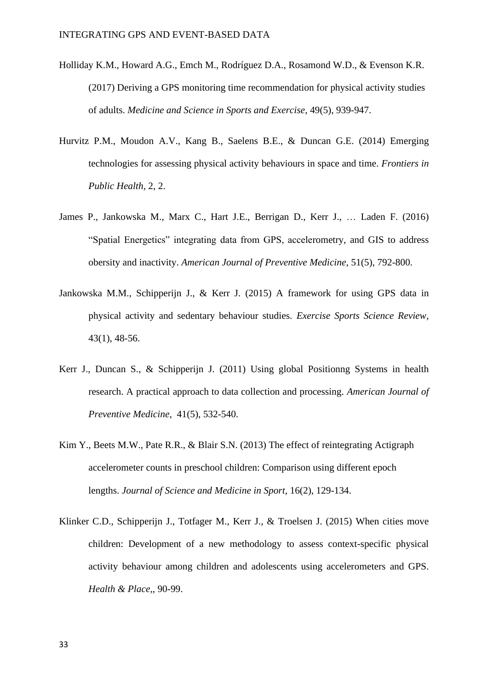- Holliday K.M., Howard A.G., Emch M., Rodríguez D.A., Rosamond W.D., & Evenson K.R. (2017) Deriving a GPS monitoring time recommendation for physical activity studies of adults. *Medicine and Science in Sports and Exercise*, 49(5), 939-947.
- Hurvitz P.M., Moudon A.V., Kang B., Saelens B.E., & Duncan G.E. (2014) Emerging technologies for assessing physical activity behaviours in space and time. *Frontiers in Public Health,* 2, 2.
- James P., Jankowska M., Marx C., Hart J.E., Berrigan D., Kerr J., … Laden F. (2016) "Spatial Energetics" integrating data from GPS, accelerometry, and GIS to address obersity and inactivity. *American Journal of Preventive Medicine,* 51(5), 792-800.
- Jankowska M.M., Schipperijn J., & Kerr J. (2015) A framework for using GPS data in physical activity and sedentary behaviour studies. *Exercise Sports Science Review,* 43(1), 48-56.
- Kerr J., Duncan S., & Schipperijn J. (2011) Using global Positionng Systems in health research. A practical approach to data collection and processing. *American Journal of Preventive Medicine,* 41(5), 532-540.
- Kim Y., Beets M.W., Pate R.R., & Blair S.N. (2013) The effect of reintegrating Actigraph accelerometer counts in preschool children: Comparison using different epoch lengths. *Journal of Science and Medicine in Sport,* 16(2), 129-134.
- Klinker C.D., Schipperijn J., Totfager M., Kerr J., & Troelsen J. (2015) When cities move children: Development of a new methodology to assess context-specific physical activity behaviour among children and adolescents using accelerometers and GPS. *Health & Place,*, 90-99.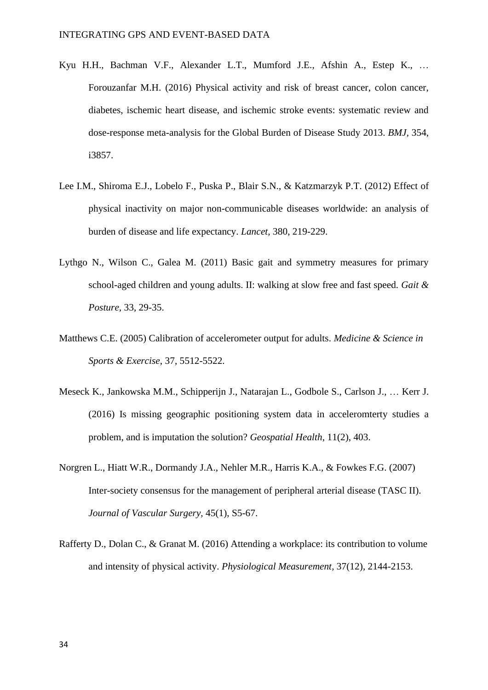- Kyu H.H., Bachman V.F., Alexander L.T., Mumford J.E., Afshin A., Estep K., … Forouzanfar M.H. (2016) Physical activity and risk of breast cancer, colon cancer, diabetes, ischemic heart disease, and ischemic stroke events: systematic review and dose-response meta-analysis for the Global Burden of Disease Study 2013. *BMJ,* 354, i3857.
- Lee I.M., Shiroma E.J., Lobelo F., Puska P., Blair S.N., & Katzmarzyk P.T. (2012) Effect of physical inactivity on major non-communicable diseases worldwide: an analysis of burden of disease and life expectancy. *Lancet,* 380, 219-229.
- Lythgo N., Wilson C., Galea M. (2011) Basic gait and symmetry measures for primary school-aged children and young adults. II: walking at slow free and fast speed. *Gait & Posture,* 33, 29-35.
- Matthews C.E. (2005) Calibration of accelerometer output for adults. *Medicine & Science in Sports & Exercise*, 37, 5512-5522.
- Meseck K., Jankowska M.M., Schipperijn J., Natarajan L., Godbole S., Carlson J., … Kerr J. (2016) Is missing geographic positioning system data in acceleromterty studies a problem, and is imputation the solution? *Geospatial Health,* 11(2), 403.
- Norgren L., Hiatt W.R., Dormandy J.A., Nehler M.R., Harris K.A., & Fowkes F.G. (2007) Inter-society consensus for the management of peripheral arterial disease (TASC II). *Journal of Vascular Surgery,* 45(1), S5-67.
- Rafferty D., Dolan C., & Granat M. (2016) Attending a workplace: its contribution to volume and intensity of physical activity. *Physiological Measurement,* 37(12), 2144-2153.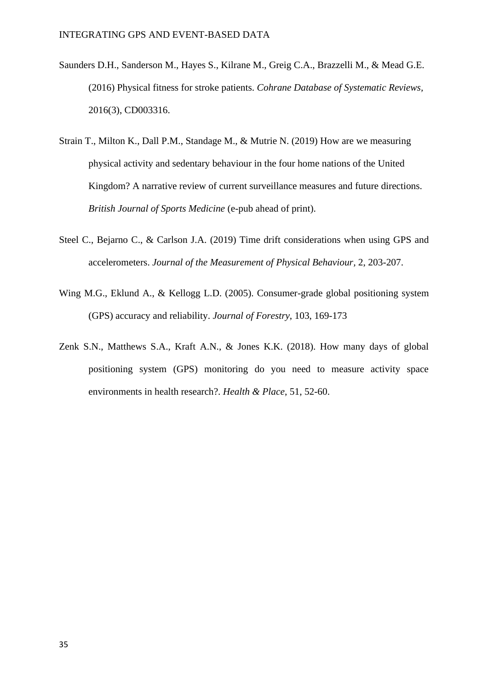- Saunders D.H., Sanderson M., Hayes S., Kilrane M., Greig C.A., Brazzelli M., & Mead G.E. (2016) Physical fitness for stroke patients. *Cohrane Database of Systematic Reviews,*  2016(3), CD003316.
- Strain T., Milton K., Dall P.M., Standage M., & Mutrie N. (2019) How are we measuring physical activity and sedentary behaviour in the four home nations of the United Kingdom? A narrative review of current surveillance measures and future directions. *British Journal of Sports Medicine* (e-pub ahead of print).
- Steel C., Bejarno C., & Carlson J.A. (2019) Time drift considerations when using GPS and accelerometers. *Journal of the Measurement of Physical Behaviour,* 2, 203-207.
- Wing M.G., Eklund A., & Kellogg L.D. (2005). Consumer-grade global positioning system (GPS) accuracy and reliability. *Journal of Forestry*, 103, 169-173
- Zenk S.N., Matthews S.A., Kraft A.N., & Jones K.K. (2018). How many days of global positioning system (GPS) monitoring do you need to measure activity space environments in health research?. *Health & Place*, 51, 52-60.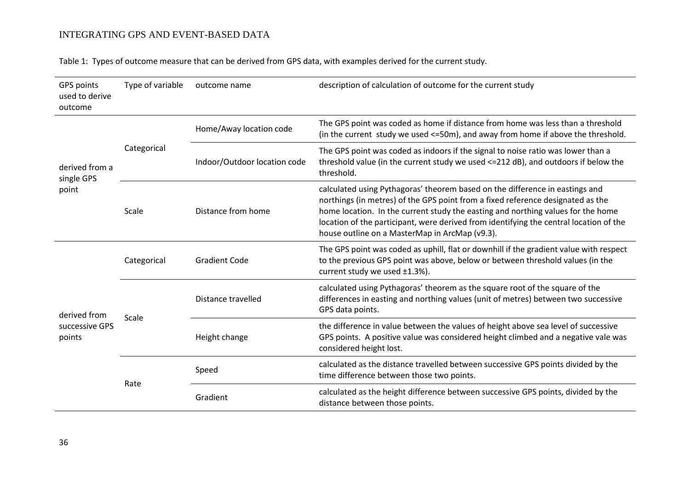Table 1: Types of outcome measure that can be derived from GPS data, with examples derived for the current study.

| GPS points<br>used to derive<br>outcome  | Type of variable | outcome name                 | description of calculation of outcome for the current study                                                                                                                                                                                                                                                                                                                                     |  |  |
|------------------------------------------|------------------|------------------------------|-------------------------------------------------------------------------------------------------------------------------------------------------------------------------------------------------------------------------------------------------------------------------------------------------------------------------------------------------------------------------------------------------|--|--|
| derived from a<br>single GPS<br>point    |                  | Home/Away location code      | The GPS point was coded as home if distance from home was less than a threshold<br>(in the current study we used <=50m), and away from home if above the threshold.                                                                                                                                                                                                                             |  |  |
|                                          | Categorical      | Indoor/Outdoor location code | The GPS point was coded as indoors if the signal to noise ratio was lower than a<br>threshold value (in the current study we used <= 212 dB), and outdoors if below the<br>threshold.                                                                                                                                                                                                           |  |  |
|                                          | Scale            | Distance from home           | calculated using Pythagoras' theorem based on the difference in eastings and<br>northings (in metres) of the GPS point from a fixed reference designated as the<br>home location. In the current study the easting and northing values for the home<br>location of the participant, were derived from identifying the central location of the<br>house outline on a MasterMap in ArcMap (v9.3). |  |  |
| derived from<br>successive GPS<br>points | Categorical      | <b>Gradient Code</b>         | The GPS point was coded as uphill, flat or downhill if the gradient value with respect<br>to the previous GPS point was above, below or between threshold values (in the<br>current study we used ±1.3%).                                                                                                                                                                                       |  |  |
|                                          |                  | Distance travelled           | calculated using Pythagoras' theorem as the square root of the square of the<br>differences in easting and northing values (unit of metres) between two successive<br>GPS data points.                                                                                                                                                                                                          |  |  |
|                                          | Scale            | Height change                | the difference in value between the values of height above sea level of successive<br>GPS points. A positive value was considered height climbed and a negative vale was<br>considered height lost.                                                                                                                                                                                             |  |  |
|                                          | Rate             | Speed                        | calculated as the distance travelled between successive GPS points divided by the<br>time difference between those two points.                                                                                                                                                                                                                                                                  |  |  |
|                                          |                  | Gradient                     | calculated as the height difference between successive GPS points, divided by the<br>distance between those points.                                                                                                                                                                                                                                                                             |  |  |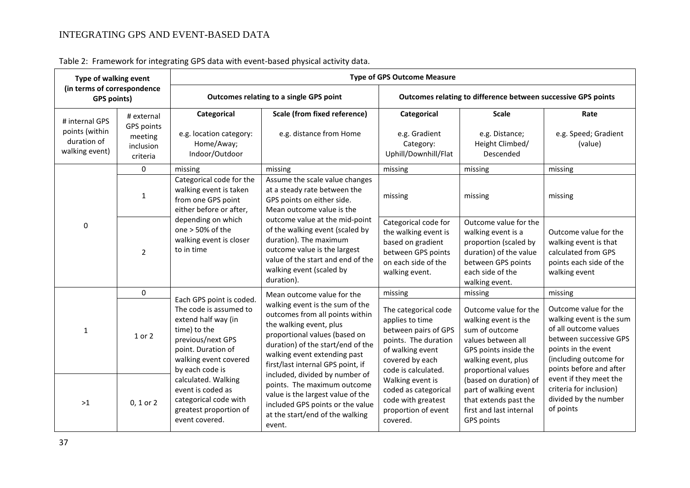| Type of walking event<br>(in terms of correspondence<br><b>GPS points)</b> |                                                              | <b>Type of GPS Outcome Measure</b>                                                                                                                                               |                                                                                                                                                                                                                                                                                                                                                                                                                                 |                                                                                                                                                                                                                                                            |                                                                                                                                                                                                                                                                                   |                                                                                                                                                                                                                                                                             |  |  |
|----------------------------------------------------------------------------|--------------------------------------------------------------|----------------------------------------------------------------------------------------------------------------------------------------------------------------------------------|---------------------------------------------------------------------------------------------------------------------------------------------------------------------------------------------------------------------------------------------------------------------------------------------------------------------------------------------------------------------------------------------------------------------------------|------------------------------------------------------------------------------------------------------------------------------------------------------------------------------------------------------------------------------------------------------------|-----------------------------------------------------------------------------------------------------------------------------------------------------------------------------------------------------------------------------------------------------------------------------------|-----------------------------------------------------------------------------------------------------------------------------------------------------------------------------------------------------------------------------------------------------------------------------|--|--|
|                                                                            |                                                              |                                                                                                                                                                                  | Outcomes relating to a single GPS point                                                                                                                                                                                                                                                                                                                                                                                         | Outcomes relating to difference between successive GPS points                                                                                                                                                                                              |                                                                                                                                                                                                                                                                                   |                                                                                                                                                                                                                                                                             |  |  |
| # internal GPS<br>points (within<br>duration of<br>walking event)          | # external<br>GPS points<br>meeting<br>inclusion<br>criteria | Categorical<br>e.g. location category:<br>Home/Away;<br>Indoor/Outdoor                                                                                                           | <b>Scale (from fixed reference)</b><br>e.g. distance from Home                                                                                                                                                                                                                                                                                                                                                                  | Categorical<br>e.g. Gradient<br>Category:<br>Uphill/Downhill/Flat                                                                                                                                                                                          | <b>Scale</b><br>e.g. Distance;<br>Height Climbed/<br>Descended                                                                                                                                                                                                                    | Rate<br>e.g. Speed; Gradient<br>(value)                                                                                                                                                                                                                                     |  |  |
|                                                                            | 0                                                            | missing                                                                                                                                                                          | missing                                                                                                                                                                                                                                                                                                                                                                                                                         | missing                                                                                                                                                                                                                                                    | missing                                                                                                                                                                                                                                                                           | missing                                                                                                                                                                                                                                                                     |  |  |
| 0                                                                          | $\mathbf{1}$                                                 | Categorical code for the<br>walking event is taken<br>from one GPS point<br>either before or after,                                                                              | Assume the scale value changes<br>at a steady rate between the<br>GPS points on either side.<br>Mean outcome value is the<br>outcome value at the mid-point<br>of the walking event (scaled by<br>duration). The maximum<br>outcome value is the largest<br>value of the start and end of the<br>walking event (scaled by<br>duration).                                                                                         | missing                                                                                                                                                                                                                                                    | missing                                                                                                                                                                                                                                                                           | missing                                                                                                                                                                                                                                                                     |  |  |
|                                                                            | $\overline{2}$                                               | depending on which<br>one $> 50\%$ of the<br>walking event is closer<br>to in time                                                                                               |                                                                                                                                                                                                                                                                                                                                                                                                                                 | Categorical code for<br>the walking event is<br>based on gradient<br>between GPS points<br>on each side of the<br>walking event.                                                                                                                           | Outcome value for the<br>walking event is a<br>proportion (scaled by<br>duration) of the value<br>between GPS points<br>each side of the<br>walking event.                                                                                                                        | Outcome value for the<br>walking event is that<br>calculated from GPS<br>points each side of the<br>walking event                                                                                                                                                           |  |  |
|                                                                            | $\mathbf 0$                                                  |                                                                                                                                                                                  | Mean outcome value for the                                                                                                                                                                                                                                                                                                                                                                                                      | missing                                                                                                                                                                                                                                                    | missing                                                                                                                                                                                                                                                                           | missing                                                                                                                                                                                                                                                                     |  |  |
| 1                                                                          | 1 or 2                                                       | Each GPS point is coded.<br>The code is assumed to<br>extend half way (in<br>time) to the<br>previous/next GPS<br>point. Duration of<br>walking event covered<br>by each code is | walking event is the sum of the<br>outcomes from all points within<br>the walking event, plus<br>proportional values (based on<br>duration) of the start/end of the<br>walking event extending past<br>first/last internal GPS point, if<br>included, divided by number of<br>points. The maximum outcome<br>value is the largest value of the<br>included GPS points or the value<br>at the start/end of the walking<br>event. | The categorical code<br>applies to time<br>between pairs of GPS<br>points. The duration<br>of walking event<br>covered by each<br>code is calculated.<br>Walking event is<br>coded as categorical<br>code with greatest<br>proportion of event<br>covered. | Outcome value for the<br>walking event is the<br>sum of outcome<br>values between all<br>GPS points inside the<br>walking event, plus<br>proportional values<br>(based on duration) of<br>part of walking event<br>that extends past the<br>first and last internal<br>GPS points | Outcome value for the<br>walking event is the sum<br>of all outcome values<br>between successive GPS<br>points in the event<br>(including outcome for<br>points before and after<br>event if they meet the<br>criteria for inclusion)<br>divided by the number<br>of points |  |  |
| >1                                                                         | $0, 1$ or $2$                                                | calculated. Walking<br>event is coded as<br>categorical code with<br>greatest proportion of<br>event covered.                                                                    |                                                                                                                                                                                                                                                                                                                                                                                                                                 |                                                                                                                                                                                                                                                            |                                                                                                                                                                                                                                                                                   |                                                                                                                                                                                                                                                                             |  |  |

Table 2: Framework for integrating GPS data with event-based physical activity data.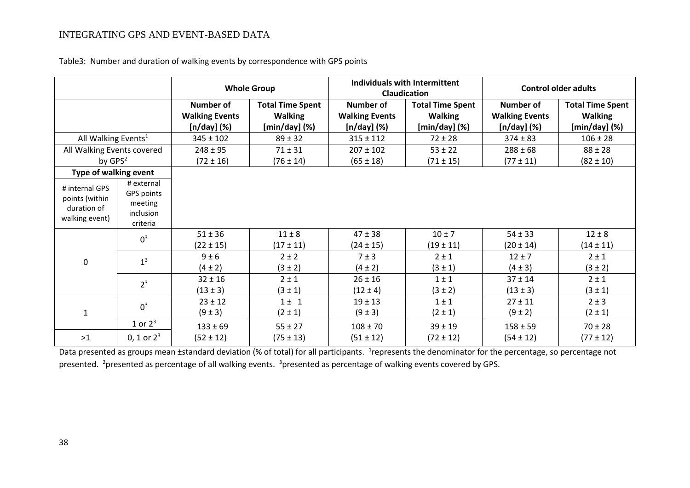|                                                                   |                                                              | <b>Whole Group</b>                                         |                                                                 | Individuals with Intermittent<br><b>Claudication</b> |                                                                 | <b>Control older adults</b>                            |                                                              |
|-------------------------------------------------------------------|--------------------------------------------------------------|------------------------------------------------------------|-----------------------------------------------------------------|------------------------------------------------------|-----------------------------------------------------------------|--------------------------------------------------------|--------------------------------------------------------------|
|                                                                   |                                                              | <b>Number of</b><br><b>Walking Events</b><br>$[n/day]$ (%) | <b>Total Time Spent</b><br><b>Walking</b><br>$[min/day]$ $(\%)$ | Number of<br><b>Walking Events</b><br>$[n/day]$ (%)  | <b>Total Time Spent</b><br><b>Walking</b><br>$[min/day]$ $(\%)$ | Number of<br><b>Walking Events</b><br>$[n/day]$ $(\%)$ | <b>Total Time Spent</b><br><b>Walking</b><br>$[min/day]$ (%) |
| All Walking Events <sup>1</sup>                                   |                                                              | $345 \pm 102$                                              | $89 \pm 32$                                                     | $315 \pm 112$                                        | $72 \pm 28$                                                     | $374 \pm 83$                                           | $106 \pm 28$                                                 |
| All Walking Events covered                                        |                                                              | $248 \pm 95$                                               | $71 \pm 31$                                                     | $207 \pm 102$                                        | $53 \pm 22$                                                     | $288 \pm 68$                                           | $88 \pm 28$                                                  |
| by $GPS2$                                                         |                                                              | $(72 \pm 16)$                                              | $(76 \pm 14)$                                                   | $(65 \pm 18)$                                        | $(71 \pm 15)$                                                   | $(77 \pm 11)$                                          | $(82 \pm 10)$                                                |
| Type of walking event                                             |                                                              |                                                            |                                                                 |                                                      |                                                                 |                                                        |                                                              |
| # internal GPS<br>points (within<br>duration of<br>walking event) | # external<br>GPS points<br>meeting<br>inclusion<br>criteria |                                                            |                                                                 |                                                      |                                                                 |                                                        |                                                              |
|                                                                   | $0^3$                                                        | $51 \pm 36$                                                | $11 \pm 8$                                                      | $47 \pm 38$                                          | $10 \pm 7$                                                      | $54 \pm 33$                                            | $12 \pm 8$                                                   |
| 0                                                                 |                                                              | $(22 \pm 15)$                                              | $(17 \pm 11)$                                                   | $(24 \pm 15)$                                        | $(19 \pm 11)$                                                   | $(20 \pm 14)$                                          | $(14 \pm 11)$                                                |
|                                                                   | 1 <sup>3</sup>                                               | 9±6                                                        | $2 \pm 2$                                                       | 7 ± 3                                                | $2 \pm 1$                                                       | $12 \pm 7$                                             | $2 \pm 1$                                                    |
|                                                                   |                                                              | $(4 \pm 2)$                                                | $(3 \pm 2)$                                                     | $(4 \pm 2)$                                          | $(3 \pm 1)$                                                     | $(4 \pm 3)$                                            | $(3 \pm 2)$                                                  |
|                                                                   | 2 <sup>3</sup>                                               | $32 \pm 16$                                                | $2 \pm 1$                                                       | $26 \pm 16$                                          | $1 \pm 1$                                                       | $37 \pm 14$                                            | $2 \pm 1$                                                    |
|                                                                   |                                                              | $(13 \pm 3)$                                               | $(3 \pm 1)$                                                     | $(12 \pm 4)$                                         | $(3 \pm 2)$                                                     | $(13 \pm 3)$                                           | $(3 \pm 1)$                                                  |
| $\mathbf 1$                                                       | 0 <sup>3</sup>                                               | $23 \pm 12$                                                | $1 \pm 1$                                                       | $19 \pm 13$                                          | $1 \pm 1$                                                       | $27 \pm 11$                                            | $2 \pm 3$                                                    |
|                                                                   |                                                              | $(9 \pm 3)$                                                | $(2 \pm 1)$                                                     | $(9 \pm 3)$                                          | $(2 \pm 1)$                                                     | $(9 \pm 2)$                                            | $(2 \pm 1)$                                                  |
|                                                                   | 1 or $2^3$                                                   | $133 \pm 69$                                               | $55 \pm 27$                                                     | $108 \pm 70$                                         | $39 \pm 19$                                                     | $158 \pm 59$                                           | $70 \pm 28$                                                  |
| $>1$                                                              | 0, 1 or $2^3$                                                | $(52 \pm 12)$                                              | $(75 \pm 13)$                                                   | $(51 \pm 12)$                                        | $(72 \pm 12)$                                                   | $(54 \pm 12)$                                          | $(77 \pm 12)$                                                |

Table3: Number and duration of walking events by correspondence with GPS points

Data presented as groups mean ±standard deviation (% of total) for all participants. <sup>1</sup>represents the denominator for the percentage, so percentage not presented. <sup>2</sup>presented as percentage of all walking events. <sup>3</sup>presented as percentage of walking events covered by GPS.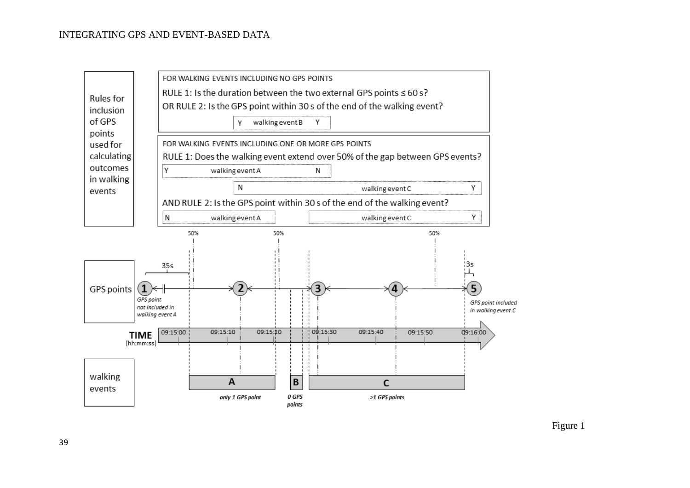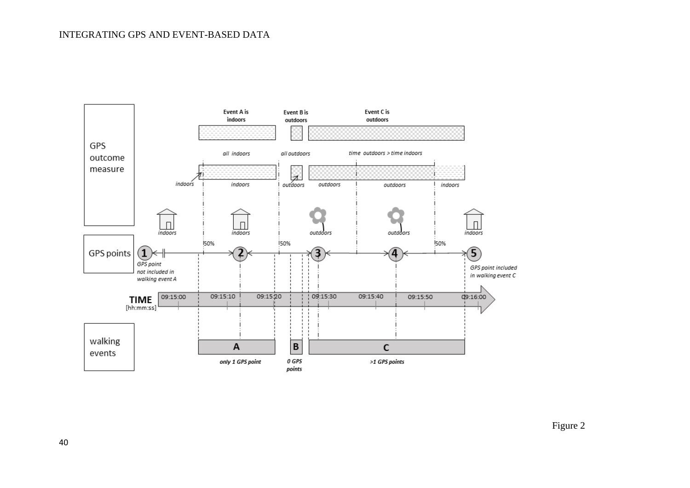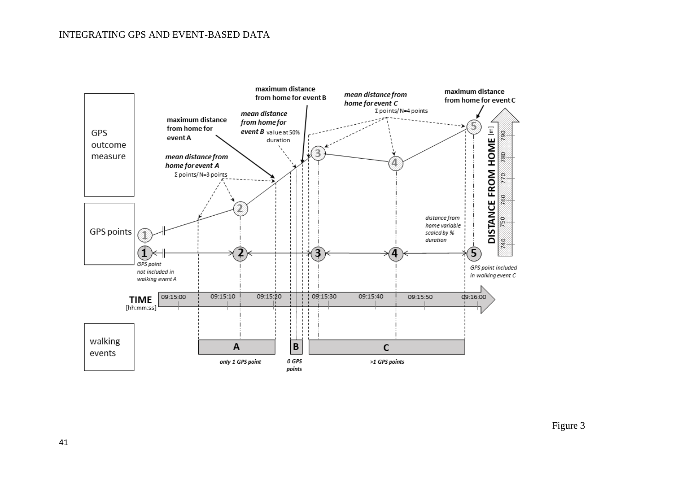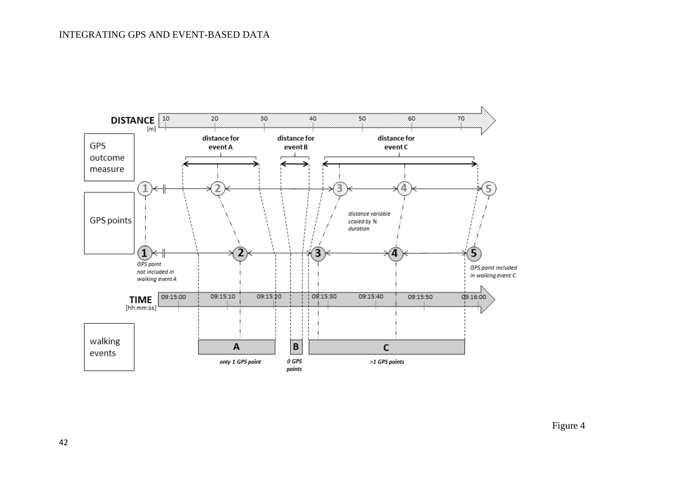

Figure 4